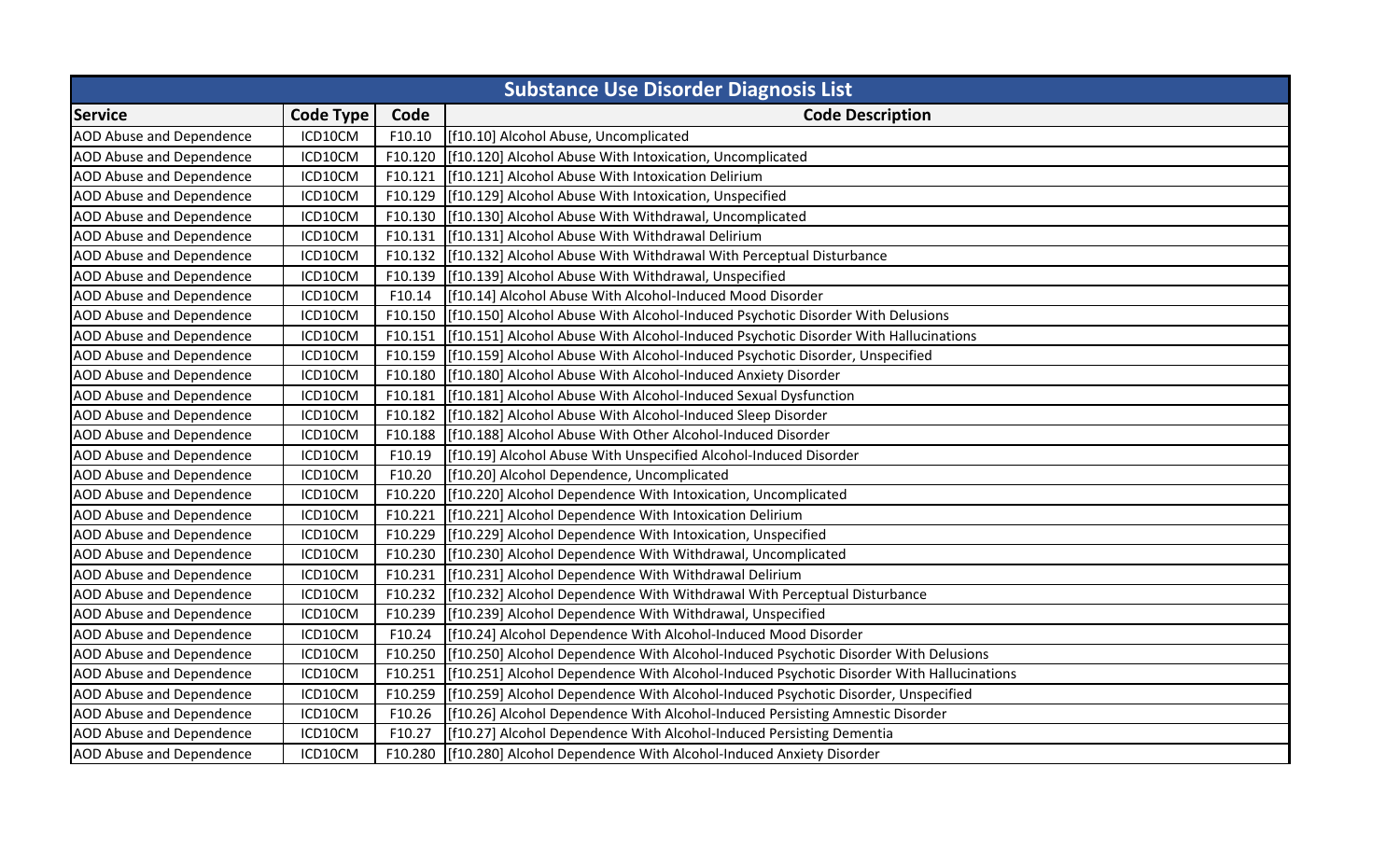| <b>Substance Use Disorder Diagnosis List</b> |                  |         |                                                                                          |  |
|----------------------------------------------|------------------|---------|------------------------------------------------------------------------------------------|--|
| <b>Service</b>                               | <b>Code Type</b> | Code    | <b>Code Description</b>                                                                  |  |
| <b>AOD Abuse and Dependence</b>              | ICD10CM          | F10.10  | [f10.10] Alcohol Abuse, Uncomplicated                                                    |  |
| <b>AOD Abuse and Dependence</b>              | ICD10CM          | F10.120 | [f10.120] Alcohol Abuse With Intoxication, Uncomplicated                                 |  |
| <b>AOD Abuse and Dependence</b>              | ICD10CM          | F10.121 | [f10.121] Alcohol Abuse With Intoxication Delirium                                       |  |
| <b>AOD Abuse and Dependence</b>              | ICD10CM          | F10.129 | [[f10.129] Alcohol Abuse With Intoxication, Unspecified                                  |  |
| <b>AOD Abuse and Dependence</b>              | ICD10CM          | F10.130 | [f10.130] Alcohol Abuse With Withdrawal, Uncomplicated                                   |  |
| <b>AOD Abuse and Dependence</b>              | ICD10CM          | F10.131 | [f10.131] Alcohol Abuse With Withdrawal Delirium                                         |  |
| <b>AOD Abuse and Dependence</b>              | ICD10CM          | F10.132 | [f10.132] Alcohol Abuse With Withdrawal With Perceptual Disturbance                      |  |
| <b>AOD Abuse and Dependence</b>              | ICD10CM          | F10.139 | [f10.139] Alcohol Abuse With Withdrawal, Unspecified                                     |  |
| <b>AOD Abuse and Dependence</b>              | ICD10CM          | F10.14  | [f10.14] Alcohol Abuse With Alcohol-Induced Mood Disorder                                |  |
| <b>AOD Abuse and Dependence</b>              | ICD10CM          | F10.150 | [f10.150] Alcohol Abuse With Alcohol-Induced Psychotic Disorder With Delusions           |  |
| <b>AOD Abuse and Dependence</b>              | ICD10CM          | F10.151 | [f10.151] Alcohol Abuse With Alcohol-Induced Psychotic Disorder With Hallucinations      |  |
| <b>AOD Abuse and Dependence</b>              | ICD10CM          | F10.159 | [f10.159] Alcohol Abuse With Alcohol-Induced Psychotic Disorder, Unspecified             |  |
| <b>AOD Abuse and Dependence</b>              | ICD10CM          | F10.180 | [f10.180] Alcohol Abuse With Alcohol-Induced Anxiety Disorder                            |  |
| <b>AOD Abuse and Dependence</b>              | ICD10CM          | F10.181 | [f10.181] Alcohol Abuse With Alcohol-Induced Sexual Dysfunction                          |  |
| <b>AOD Abuse and Dependence</b>              | ICD10CM          | F10.182 | [f10.182] Alcohol Abuse With Alcohol-Induced Sleep Disorder                              |  |
| AOD Abuse and Dependence                     | ICD10CM          | F10.188 | [f10.188] Alcohol Abuse With Other Alcohol-Induced Disorder                              |  |
| <b>AOD Abuse and Dependence</b>              | ICD10CM          | F10.19  | [f10.19] Alcohol Abuse With Unspecified Alcohol-Induced Disorder                         |  |
| <b>AOD Abuse and Dependence</b>              | ICD10CM          | F10.20  | [f10.20] Alcohol Dependence, Uncomplicated                                               |  |
| <b>AOD Abuse and Dependence</b>              | ICD10CM          | F10.220 | [f10.220] Alcohol Dependence With Intoxication, Uncomplicated                            |  |
| <b>AOD Abuse and Dependence</b>              | ICD10CM          | F10.221 | [f10.221] Alcohol Dependence With Intoxication Delirium                                  |  |
| <b>AOD Abuse and Dependence</b>              | ICD10CM          | F10.229 | [f10.229] Alcohol Dependence With Intoxication, Unspecified                              |  |
| <b>AOD Abuse and Dependence</b>              | ICD10CM          | F10.230 | [f10.230] Alcohol Dependence With Withdrawal, Uncomplicated                              |  |
| <b>AOD Abuse and Dependence</b>              | ICD10CM          | F10.231 | [f10.231] Alcohol Dependence With Withdrawal Delirium                                    |  |
| AOD Abuse and Dependence                     | ICD10CM          | F10.232 | [f10.232] Alcohol Dependence With Withdrawal With Perceptual Disturbance                 |  |
| <b>AOD Abuse and Dependence</b>              | ICD10CM          | F10.239 | [f10.239] Alcohol Dependence With Withdrawal, Unspecified                                |  |
| <b>AOD Abuse and Dependence</b>              | ICD10CM          | F10.24  | [f10.24] Alcohol Dependence With Alcohol-Induced Mood Disorder                           |  |
| AOD Abuse and Dependence                     | ICD10CM          | F10.250 | [f10.250] Alcohol Dependence With Alcohol-Induced Psychotic Disorder With Delusions      |  |
| <b>AOD Abuse and Dependence</b>              | ICD10CM          | F10.251 | [f10.251] Alcohol Dependence With Alcohol-Induced Psychotic Disorder With Hallucinations |  |
| <b>AOD Abuse and Dependence</b>              | ICD10CM          | F10.259 | [f10.259] Alcohol Dependence With Alcohol-Induced Psychotic Disorder, Unspecified        |  |
| AOD Abuse and Dependence                     | ICD10CM          | F10.26  | [f10.26] Alcohol Dependence With Alcohol-Induced Persisting Amnestic Disorder            |  |
| <b>AOD Abuse and Dependence</b>              | ICD10CM          | F10.27  | [f10.27] Alcohol Dependence With Alcohol-Induced Persisting Dementia                     |  |
| <b>AOD Abuse and Dependence</b>              | ICD10CM          | F10.280 | [f10.280] Alcohol Dependence With Alcohol-Induced Anxiety Disorder                       |  |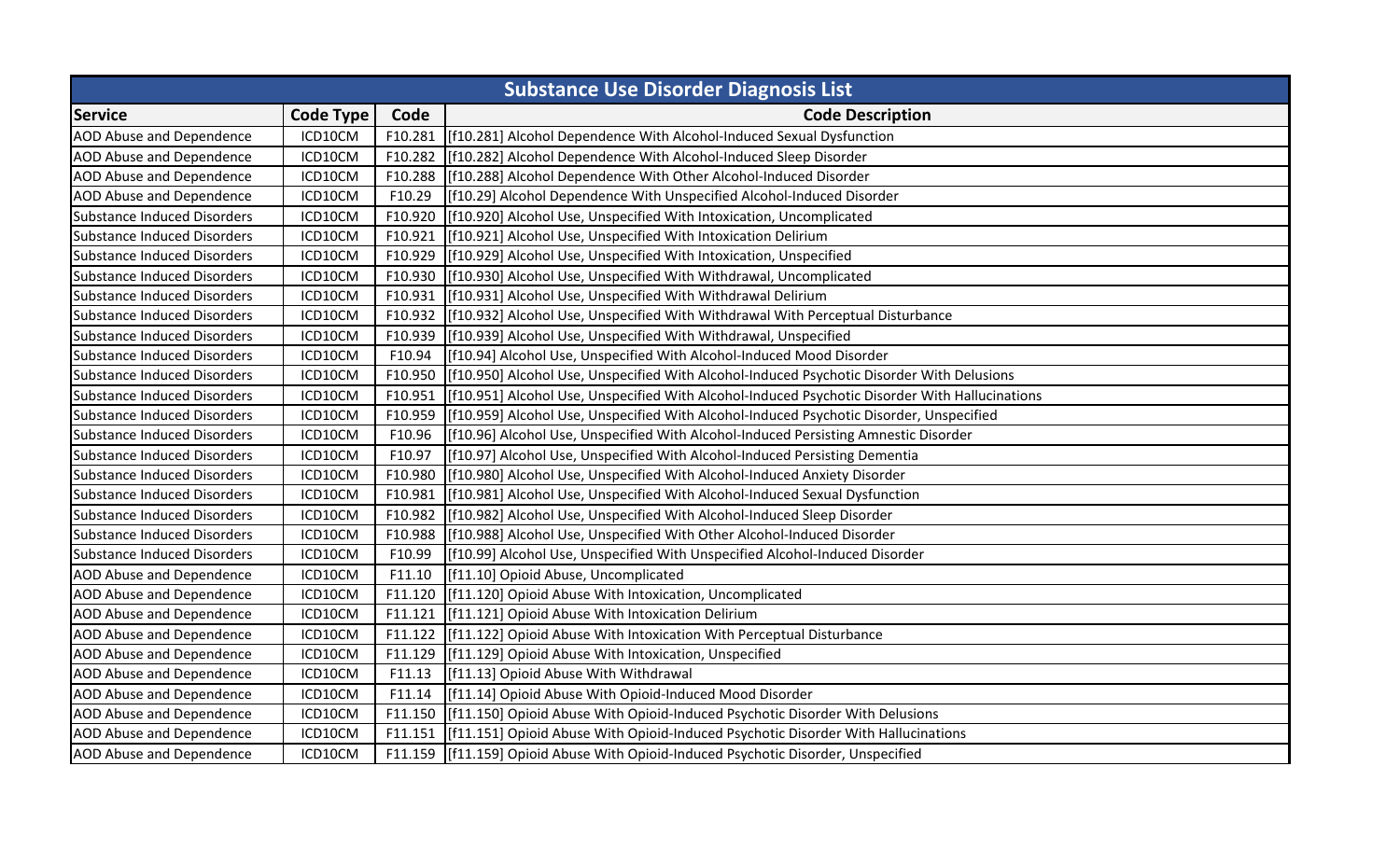| <b>Substance Use Disorder Diagnosis List</b> |                  |         |                                                                                                |  |
|----------------------------------------------|------------------|---------|------------------------------------------------------------------------------------------------|--|
| <b>Service</b>                               | <b>Code Type</b> | Code    | <b>Code Description</b>                                                                        |  |
| <b>AOD Abuse and Dependence</b>              | ICD10CM          | F10.281 | [f10.281] Alcohol Dependence With Alcohol-Induced Sexual Dysfunction                           |  |
| <b>AOD Abuse and Dependence</b>              | ICD10CM          |         | F10.282 [[f10.282] Alcohol Dependence With Alcohol-Induced Sleep Disorder                      |  |
| <b>AOD Abuse and Dependence</b>              | ICD10CM          | F10.288 | [f10.288] Alcohol Dependence With Other Alcohol-Induced Disorder                               |  |
| <b>AOD Abuse and Dependence</b>              | ICD10CM          | F10.29  | [f10.29] Alcohol Dependence With Unspecified Alcohol-Induced Disorder                          |  |
| <b>Substance Induced Disorders</b>           | ICD10CM          | F10.920 | [f10.920] Alcohol Use, Unspecified With Intoxication, Uncomplicated                            |  |
| <b>Substance Induced Disorders</b>           | ICD10CM          | F10.921 | [f10.921] Alcohol Use, Unspecified With Intoxication Delirium                                  |  |
| <b>Substance Induced Disorders</b>           | ICD10CM          | F10.929 | [f10.929] Alcohol Use, Unspecified With Intoxication, Unspecified                              |  |
| <b>Substance Induced Disorders</b>           | ICD10CM          | F10.930 | [f10.930] Alcohol Use, Unspecified With Withdrawal, Uncomplicated                              |  |
| <b>Substance Induced Disorders</b>           | ICD10CM          | F10.931 | [f10.931] Alcohol Use, Unspecified With Withdrawal Delirium                                    |  |
| <b>Substance Induced Disorders</b>           | ICD10CM          | F10.932 | [f10.932] Alcohol Use, Unspecified With Withdrawal With Perceptual Disturbance                 |  |
| <b>Substance Induced Disorders</b>           | ICD10CM          | F10.939 | [f10.939] Alcohol Use, Unspecified With Withdrawal, Unspecified                                |  |
| <b>Substance Induced Disorders</b>           | ICD10CM          | F10.94  | [f10.94] Alcohol Use, Unspecified With Alcohol-Induced Mood Disorder                           |  |
| Substance Induced Disorders                  | ICD10CM          | F10.950 | [f10.950] Alcohol Use, Unspecified With Alcohol-Induced Psychotic Disorder With Delusions      |  |
| <b>Substance Induced Disorders</b>           | ICD10CM          | F10.951 | [f10.951] Alcohol Use, Unspecified With Alcohol-Induced Psychotic Disorder With Hallucinations |  |
| <b>Substance Induced Disorders</b>           | ICD10CM          | F10.959 | [f10.959] Alcohol Use, Unspecified With Alcohol-Induced Psychotic Disorder, Unspecified        |  |
| <b>Substance Induced Disorders</b>           | ICD10CM          | F10.96  | [f10.96] Alcohol Use, Unspecified With Alcohol-Induced Persisting Amnestic Disorder            |  |
| <b>Substance Induced Disorders</b>           | ICD10CM          | F10.97  | [f10.97] Alcohol Use, Unspecified With Alcohol-Induced Persisting Dementia                     |  |
| <b>Substance Induced Disorders</b>           | ICD10CM          | F10.980 | [f10.980] Alcohol Use, Unspecified With Alcohol-Induced Anxiety Disorder                       |  |
| <b>Substance Induced Disorders</b>           | ICD10CM          | F10.981 | [f10.981] Alcohol Use, Unspecified With Alcohol-Induced Sexual Dysfunction                     |  |
| <b>Substance Induced Disorders</b>           | ICD10CM          | F10.982 | [f10.982] Alcohol Use, Unspecified With Alcohol-Induced Sleep Disorder                         |  |
| <b>Substance Induced Disorders</b>           | ICD10CM          | F10.988 | [f10.988] Alcohol Use, Unspecified With Other Alcohol-Induced Disorder                         |  |
| <b>Substance Induced Disorders</b>           | ICD10CM          | F10.99  | [[f10.99] Alcohol Use, Unspecified With Unspecified Alcohol-Induced Disorder                   |  |
| AOD Abuse and Dependence                     | ICD10CM          | F11.10  | [f11.10] Opioid Abuse, Uncomplicated                                                           |  |
| <b>AOD Abuse and Dependence</b>              | ICD10CM          | F11.120 | [f11.120] Opioid Abuse With Intoxication, Uncomplicated                                        |  |
| <b>AOD Abuse and Dependence</b>              | ICD10CM          | F11.121 | [f11.121] Opioid Abuse With Intoxication Delirium                                              |  |
| <b>AOD Abuse and Dependence</b>              | ICD10CM          | F11.122 | [f11.122] Opioid Abuse With Intoxication With Perceptual Disturbance                           |  |
| <b>AOD Abuse and Dependence</b>              | ICD10CM          | F11.129 | [f11.129] Opioid Abuse With Intoxication, Unspecified                                          |  |
| <b>AOD Abuse and Dependence</b>              | ICD10CM          | F11.13  | [f11.13] Opioid Abuse With Withdrawal                                                          |  |
| <b>AOD Abuse and Dependence</b>              | ICD10CM          | F11.14  | [[f11.14] Opioid Abuse With Opioid-Induced Mood Disorder                                       |  |
| <b>AOD Abuse and Dependence</b>              | ICD10CM          | F11.150 | [[f11.150] Opioid Abuse With Opioid-Induced Psychotic Disorder With Delusions                  |  |
| <b>AOD Abuse and Dependence</b>              | ICD10CM          | F11.151 | [f11.151] Opioid Abuse With Opioid-Induced Psychotic Disorder With Hallucinations              |  |
| <b>AOD Abuse and Dependence</b>              | ICD10CM          |         | F11.159   [f11.159] Opioid Abuse With Opioid-Induced Psychotic Disorder, Unspecified           |  |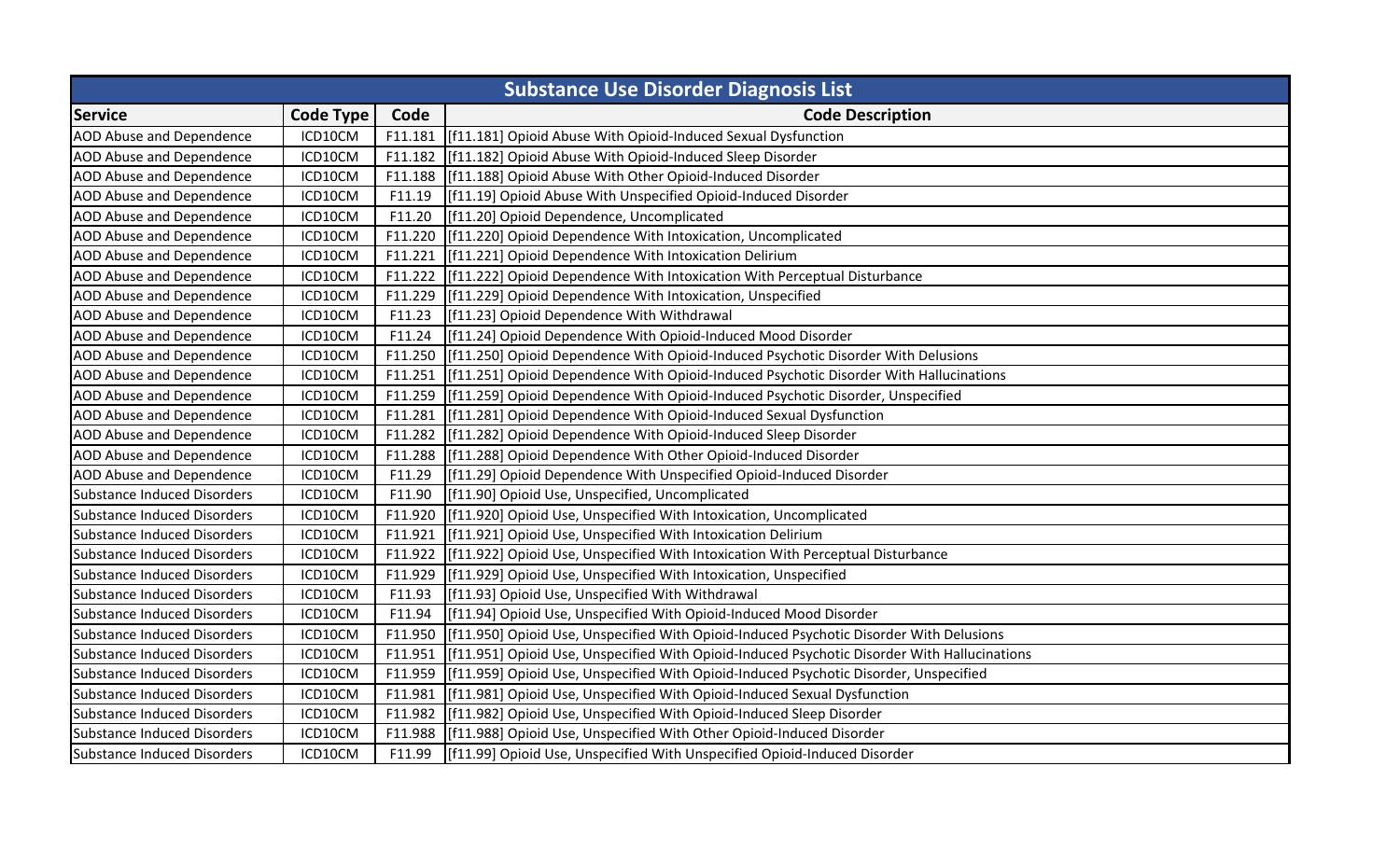| <b>Substance Use Disorder Diagnosis List</b> |                  |         |                                                                                              |  |
|----------------------------------------------|------------------|---------|----------------------------------------------------------------------------------------------|--|
| <b>Service</b>                               | <b>Code Type</b> | Code    | <b>Code Description</b>                                                                      |  |
| <b>AOD Abuse and Dependence</b>              | ICD10CM          | F11.181 | [f11.181] Opioid Abuse With Opioid-Induced Sexual Dysfunction                                |  |
| <b>AOD Abuse and Dependence</b>              | ICD10CM          | F11.182 | [f11.182] Opioid Abuse With Opioid-Induced Sleep Disorder                                    |  |
| <b>AOD Abuse and Dependence</b>              | ICD10CM          | F11.188 | [f11.188] Opioid Abuse With Other Opioid-Induced Disorder                                    |  |
| <b>AOD Abuse and Dependence</b>              | ICD10CM          | F11.19  | [f11.19] Opioid Abuse With Unspecified Opioid-Induced Disorder                               |  |
| <b>AOD Abuse and Dependence</b>              | ICD10CM          | F11.20  | [f11.20] Opioid Dependence, Uncomplicated                                                    |  |
| <b>AOD Abuse and Dependence</b>              | ICD10CM          | F11.220 | [f11.220] Opioid Dependence With Intoxication, Uncomplicated                                 |  |
| <b>AOD Abuse and Dependence</b>              | ICD10CM          | F11.221 | [f11.221] Opioid Dependence With Intoxication Delirium                                       |  |
| <b>AOD Abuse and Dependence</b>              | ICD10CM          | F11.222 | [f11.222] Opioid Dependence With Intoxication With Perceptual Disturbance                    |  |
| <b>AOD Abuse and Dependence</b>              | ICD10CM          | F11.229 | [[f11.229] Opioid Dependence With Intoxication, Unspecified                                  |  |
| <b>AOD Abuse and Dependence</b>              | ICD10CM          | F11.23  | [f11.23] Opioid Dependence With Withdrawal                                                   |  |
| <b>AOD Abuse and Dependence</b>              | ICD10CM          | F11.24  | [f11.24] Opioid Dependence With Opioid-Induced Mood Disorder                                 |  |
| AOD Abuse and Dependence                     | ICD10CM          | F11.250 | [f11.250] Opioid Dependence With Opioid-Induced Psychotic Disorder With Delusions            |  |
| <b>AOD Abuse and Dependence</b>              | ICD10CM          | F11.251 | [f11.251] Opioid Dependence With Opioid-Induced Psychotic Disorder With Hallucinations       |  |
| <b>AOD Abuse and Dependence</b>              | ICD10CM          | F11.259 | [f11.259] Opioid Dependence With Opioid-Induced Psychotic Disorder, Unspecified              |  |
| <b>AOD Abuse and Dependence</b>              | ICD10CM          | F11.281 | [[f11.281] Opioid Dependence With Opioid-Induced Sexual Dysfunction                          |  |
| AOD Abuse and Dependence                     | ICD10CM          | F11.282 | [f11.282] Opioid Dependence With Opioid-Induced Sleep Disorder                               |  |
| <b>AOD Abuse and Dependence</b>              | ICD10CM          | F11.288 | [f11.288] Opioid Dependence With Other Opioid-Induced Disorder                               |  |
| <b>AOD Abuse and Dependence</b>              | ICD10CM          | F11.29  | [f11.29] Opioid Dependence With Unspecified Opioid-Induced Disorder                          |  |
| Substance Induced Disorders                  | ICD10CM          | F11.90  | [f11.90] Opioid Use, Unspecified, Uncomplicated                                              |  |
| Substance Induced Disorders                  | ICD10CM          | F11.920 | [f11.920] Opioid Use, Unspecified With Intoxication, Uncomplicated                           |  |
| Substance Induced Disorders                  | ICD10CM          | F11.921 | [f11.921] Opioid Use, Unspecified With Intoxication Delirium                                 |  |
| Substance Induced Disorders                  | ICD10CM          | F11.922 | [f11.922] Opioid Use, Unspecified With Intoxication With Perceptual Disturbance              |  |
| <b>Substance Induced Disorders</b>           | ICD10CM          | F11.929 | [f11.929] Opioid Use, Unspecified With Intoxication, Unspecified                             |  |
| <b>Substance Induced Disorders</b>           | ICD10CM          | F11.93  | [f11.93] Opioid Use, Unspecified With Withdrawal                                             |  |
| Substance Induced Disorders                  | ICD10CM          | F11.94  | [f11.94] Opioid Use, Unspecified With Opioid-Induced Mood Disorder                           |  |
| Substance Induced Disorders                  | ICD10CM          | F11.950 | [f11.950] Opioid Use, Unspecified With Opioid-Induced Psychotic Disorder With Delusions      |  |
| <b>Substance Induced Disorders</b>           | ICD10CM          | F11.951 | [f11.951] Opioid Use, Unspecified With Opioid-Induced Psychotic Disorder With Hallucinations |  |
| Substance Induced Disorders                  | ICD10CM          | F11.959 | [f11.959] Opioid Use, Unspecified With Opioid-Induced Psychotic Disorder, Unspecified        |  |
| Substance Induced Disorders                  | ICD10CM          | F11.981 | [f11.981] Opioid Use, Unspecified With Opioid-Induced Sexual Dysfunction                     |  |
| Substance Induced Disorders                  | ICD10CM          | F11.982 | [f11.982] Opioid Use, Unspecified With Opioid-Induced Sleep Disorder                         |  |
| Substance Induced Disorders                  | ICD10CM          | F11.988 | [f11.988] Opioid Use, Unspecified With Other Opioid-Induced Disorder                         |  |
| Substance Induced Disorders                  | ICD10CM          | F11.99  | [f11.99] Opioid Use, Unspecified With Unspecified Opioid-Induced Disorder                    |  |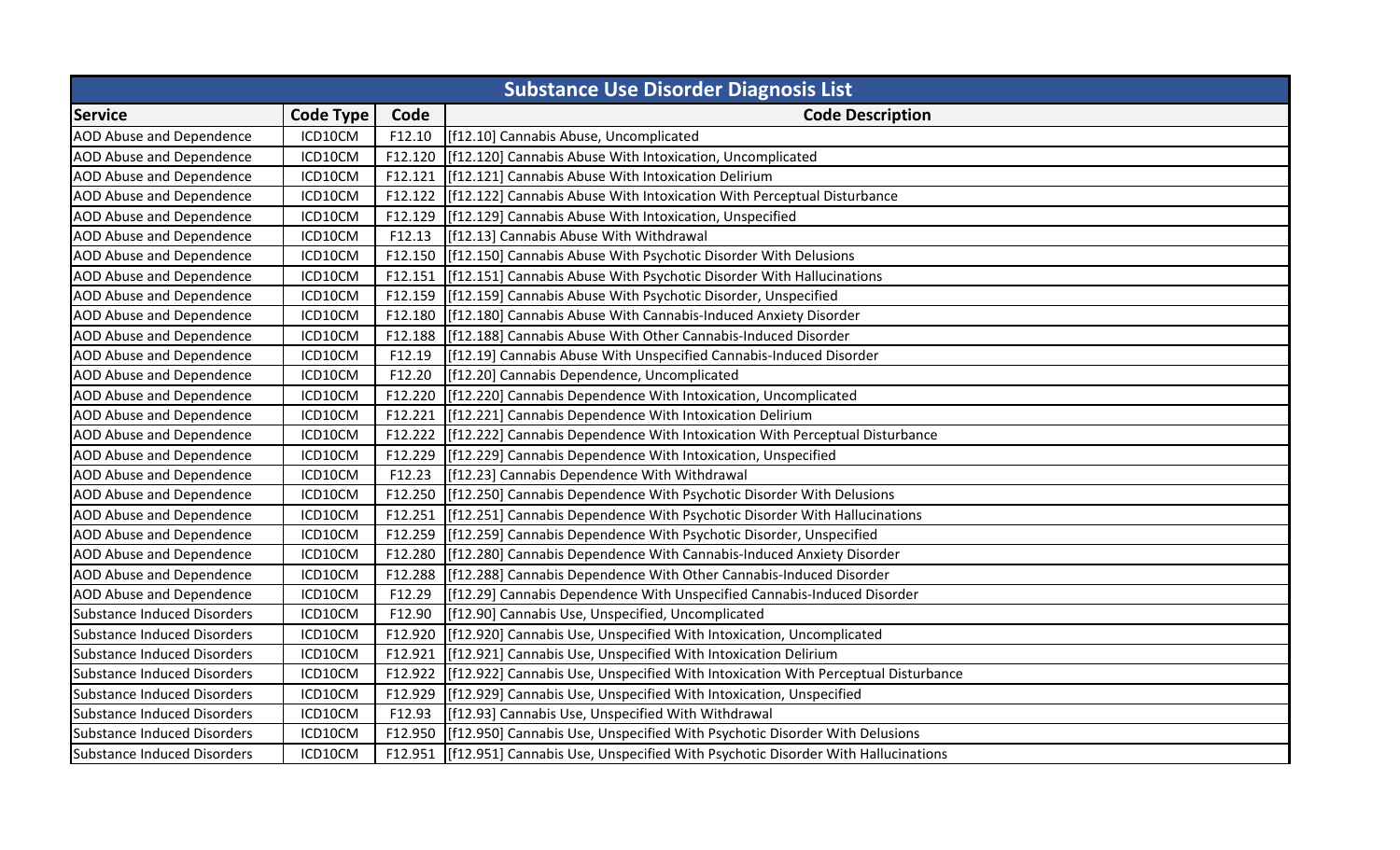| <b>Substance Use Disorder Diagnosis List</b> |                  |         |                                                                                   |  |
|----------------------------------------------|------------------|---------|-----------------------------------------------------------------------------------|--|
| <b>Service</b>                               | <b>Code Type</b> | Code    | <b>Code Description</b>                                                           |  |
| <b>AOD Abuse and Dependence</b>              | ICD10CM          | F12.10  | [f12.10] Cannabis Abuse, Uncomplicated                                            |  |
| AOD Abuse and Dependence                     | ICD10CM          | F12.120 | [f12.120] Cannabis Abuse With Intoxication, Uncomplicated                         |  |
| AOD Abuse and Dependence                     | ICD10CM          | F12.121 | [f12.121] Cannabis Abuse With Intoxication Delirium                               |  |
| <b>AOD Abuse and Dependence</b>              | ICD10CM          | F12.122 | [f12.122] Cannabis Abuse With Intoxication With Perceptual Disturbance            |  |
| <b>AOD Abuse and Dependence</b>              | ICD10CM          | F12.129 | [f12.129] Cannabis Abuse With Intoxication, Unspecified                           |  |
| <b>AOD Abuse and Dependence</b>              | ICD10CM          | F12.13  | [f12.13] Cannabis Abuse With Withdrawal                                           |  |
| <b>AOD Abuse and Dependence</b>              | ICD10CM          | F12.150 | [f12.150] Cannabis Abuse With Psychotic Disorder With Delusions                   |  |
| AOD Abuse and Dependence                     | ICD10CM          | F12.151 | [f12.151] Cannabis Abuse With Psychotic Disorder With Hallucinations              |  |
| <b>AOD Abuse and Dependence</b>              | ICD10CM          | F12.159 | [f12.159] Cannabis Abuse With Psychotic Disorder, Unspecified                     |  |
| <b>AOD Abuse and Dependence</b>              | ICD10CM          | F12.180 | [f12.180] Cannabis Abuse With Cannabis-Induced Anxiety Disorder                   |  |
| AOD Abuse and Dependence                     | ICD10CM          | F12.188 | [f12.188] Cannabis Abuse With Other Cannabis-Induced Disorder                     |  |
| <b>AOD Abuse and Dependence</b>              | ICD10CM          | F12.19  | [f12.19] Cannabis Abuse With Unspecified Cannabis-Induced Disorder                |  |
| <b>AOD Abuse and Dependence</b>              | ICD10CM          | F12.20  | [f12.20] Cannabis Dependence, Uncomplicated                                       |  |
| <b>AOD Abuse and Dependence</b>              | ICD10CM          | F12.220 | [f12.220] Cannabis Dependence With Intoxication, Uncomplicated                    |  |
| <b>AOD Abuse and Dependence</b>              | ICD10CM          | F12.221 | [f12.221] Cannabis Dependence With Intoxication Delirium                          |  |
| <b>AOD Abuse and Dependence</b>              | ICD10CM          | F12.222 | [f12.222] Cannabis Dependence With Intoxication With Perceptual Disturbance       |  |
| <b>AOD Abuse and Dependence</b>              | ICD10CM          | F12.229 | [f12.229] Cannabis Dependence With Intoxication, Unspecified                      |  |
| <b>AOD Abuse and Dependence</b>              | ICD10CM          | F12.23  | [f12.23] Cannabis Dependence With Withdrawal                                      |  |
| <b>AOD Abuse and Dependence</b>              | ICD10CM          | F12.250 | [f12.250] Cannabis Dependence With Psychotic Disorder With Delusions              |  |
| <b>AOD Abuse and Dependence</b>              | ICD10CM          | F12.251 | [f12.251] Cannabis Dependence With Psychotic Disorder With Hallucinations         |  |
| <b>AOD Abuse and Dependence</b>              | ICD10CM          | F12.259 | [f12.259] Cannabis Dependence With Psychotic Disorder, Unspecified                |  |
| <b>AOD Abuse and Dependence</b>              | ICD10CM          | F12.280 | [f12.280] Cannabis Dependence With Cannabis-Induced Anxiety Disorder              |  |
| AOD Abuse and Dependence                     | ICD10CM          | F12.288 | [f12.288] Cannabis Dependence With Other Cannabis-Induced Disorder                |  |
| AOD Abuse and Dependence                     | ICD10CM          | F12.29  | [f12.29] Cannabis Dependence With Unspecified Cannabis-Induced Disorder           |  |
| <b>Substance Induced Disorders</b>           | ICD10CM          | F12.90  | [f12.90] Cannabis Use, Unspecified, Uncomplicated                                 |  |
| Substance Induced Disorders                  | ICD10CM          | F12.920 | [f12.920] Cannabis Use, Unspecified With Intoxication, Uncomplicated              |  |
| Substance Induced Disorders                  | ICD10CM          | F12.921 | [f12.921] Cannabis Use, Unspecified With Intoxication Delirium                    |  |
| Substance Induced Disorders                  | ICD10CM          | F12.922 | [f12.922] Cannabis Use, Unspecified With Intoxication With Perceptual Disturbance |  |
| <b>Substance Induced Disorders</b>           | ICD10CM          | F12.929 | [f12.929] Cannabis Use, Unspecified With Intoxication, Unspecified                |  |
| Substance Induced Disorders                  | ICD10CM          | F12.93  | [f12.93] Cannabis Use, Unspecified With Withdrawal                                |  |
| Substance Induced Disorders                  | ICD10CM          | F12.950 | [f12.950] Cannabis Use, Unspecified With Psychotic Disorder With Delusions        |  |
| Substance Induced Disorders                  | ICD10CM          | F12.951 | [f12.951] Cannabis Use, Unspecified With Psychotic Disorder With Hallucinations   |  |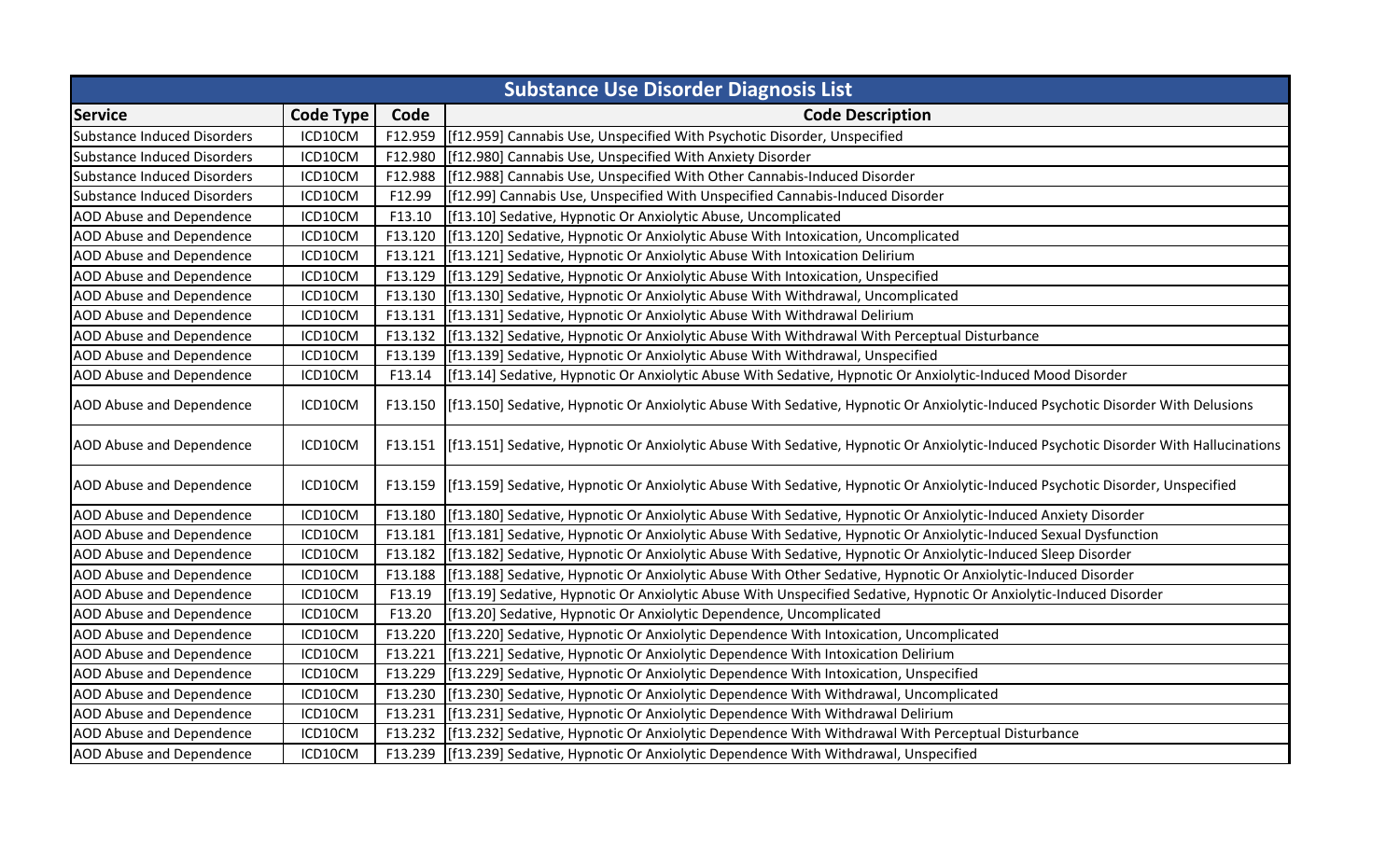| <b>Substance Use Disorder Diagnosis List</b> |                  |         |                                                                                                                                               |
|----------------------------------------------|------------------|---------|-----------------------------------------------------------------------------------------------------------------------------------------------|
| <b>Service</b>                               | <b>Code Type</b> | Code    | <b>Code Description</b>                                                                                                                       |
| <b>Substance Induced Disorders</b>           | ICD10CM          | F12.959 | [f12.959] Cannabis Use, Unspecified With Psychotic Disorder, Unspecified                                                                      |
| <b>Substance Induced Disorders</b>           | ICD10CM          | F12.980 | [f12.980] Cannabis Use, Unspecified With Anxiety Disorder                                                                                     |
| <b>Substance Induced Disorders</b>           | ICD10CM          | F12.988 | [f12.988] Cannabis Use, Unspecified With Other Cannabis-Induced Disorder                                                                      |
| <b>Substance Induced Disorders</b>           | ICD10CM          | F12.99  | [f12.99] Cannabis Use, Unspecified With Unspecified Cannabis-Induced Disorder                                                                 |
| <b>AOD Abuse and Dependence</b>              | ICD10CM          | F13.10  | [f13.10] Sedative, Hypnotic Or Anxiolytic Abuse, Uncomplicated                                                                                |
| AOD Abuse and Dependence                     | ICD10CM          | F13.120 | [[f13.120] Sedative, Hypnotic Or Anxiolytic Abuse With Intoxication, Uncomplicated                                                            |
| <b>AOD Abuse and Dependence</b>              | ICD10CM          | F13.121 | [f13.121] Sedative, Hypnotic Or Anxiolytic Abuse With Intoxication Delirium                                                                   |
| <b>AOD Abuse and Dependence</b>              | ICD10CM          | F13.129 | [f13.129] Sedative, Hypnotic Or Anxiolytic Abuse With Intoxication, Unspecified                                                               |
| AOD Abuse and Dependence                     | ICD10CM          | F13.130 | [f13.130] Sedative, Hypnotic Or Anxiolytic Abuse With Withdrawal, Uncomplicated                                                               |
| AOD Abuse and Dependence                     | ICD10CM          | F13.131 | [[f13.131] Sedative, Hypnotic Or Anxiolytic Abuse With Withdrawal Delirium                                                                    |
| <b>AOD Abuse and Dependence</b>              | ICD10CM          | F13.132 | [f13.132] Sedative, Hypnotic Or Anxiolytic Abuse With Withdrawal With Perceptual Disturbance                                                  |
| <b>AOD Abuse and Dependence</b>              | ICD10CM          | F13.139 | [f13.139] Sedative, Hypnotic Or Anxiolytic Abuse With Withdrawal, Unspecified                                                                 |
| <b>AOD Abuse and Dependence</b>              | ICD10CM          | F13.14  | [[f13.14] Sedative, Hypnotic Or Anxiolytic Abuse With Sedative, Hypnotic Or Anxiolytic-Induced Mood Disorder                                  |
| <b>AOD Abuse and Dependence</b>              | ICD10CM          |         | F13.150 [f13.150] Sedative, Hypnotic Or Anxiolytic Abuse With Sedative, Hypnotic Or Anxiolytic-Induced Psychotic Disorder With Delusions      |
| <b>AOD Abuse and Dependence</b>              | ICD10CM          |         | F13.151 [f13.151] Sedative, Hypnotic Or Anxiolytic Abuse With Sedative, Hypnotic Or Anxiolytic-Induced Psychotic Disorder With Hallucinations |
| AOD Abuse and Dependence                     | ICD10CM          |         | F13.159 [f13.159] Sedative, Hypnotic Or Anxiolytic Abuse With Sedative, Hypnotic Or Anxiolytic-Induced Psychotic Disorder, Unspecified        |
| <b>AOD Abuse and Dependence</b>              | ICD10CM          | F13.180 | [f13.180] Sedative, Hypnotic Or Anxiolytic Abuse With Sedative, Hypnotic Or Anxiolytic-Induced Anxiety Disorder                               |
| <b>AOD Abuse and Dependence</b>              | ICD10CM          | F13.181 | [f13.181] Sedative, Hypnotic Or Anxiolytic Abuse With Sedative, Hypnotic Or Anxiolytic-Induced Sexual Dysfunction                             |
| AOD Abuse and Dependence                     | ICD10CM          | F13.182 | [[f13.182] Sedative, Hypnotic Or Anxiolytic Abuse With Sedative, Hypnotic Or Anxiolytic-Induced Sleep Disorder                                |
| AOD Abuse and Dependence                     | ICD10CM          | F13.188 | [f13.188] Sedative, Hypnotic Or Anxiolytic Abuse With Other Sedative, Hypnotic Or Anxiolytic-Induced Disorder                                 |
| AOD Abuse and Dependence                     | ICD10CM          | F13.19  | [f13.19] Sedative, Hypnotic Or Anxiolytic Abuse With Unspecified Sedative, Hypnotic Or Anxiolytic-Induced Disorder                            |
| AOD Abuse and Dependence                     | ICD10CM          | F13.20  | [f13.20] Sedative, Hypnotic Or Anxiolytic Dependence, Uncomplicated                                                                           |
| <b>AOD Abuse and Dependence</b>              | ICD10CM          | F13.220 | [f13.220] Sedative, Hypnotic Or Anxiolytic Dependence With Intoxication, Uncomplicated                                                        |
| <b>AOD Abuse and Dependence</b>              | ICD10CM          | F13.221 | [f13.221] Sedative, Hypnotic Or Anxiolytic Dependence With Intoxication Delirium                                                              |
| <b>AOD Abuse and Dependence</b>              | ICD10CM          | F13.229 | [[f13.229] Sedative, Hypnotic Or Anxiolytic Dependence With Intoxication, Unspecified                                                         |
| <b>AOD Abuse and Dependence</b>              | ICD10CM          | F13.230 | [f13.230] Sedative, Hypnotic Or Anxiolytic Dependence With Withdrawal, Uncomplicated                                                          |
| <b>AOD Abuse and Dependence</b>              | ICD10CM          | F13.231 | [f13.231] Sedative, Hypnotic Or Anxiolytic Dependence With Withdrawal Delirium                                                                |
| AOD Abuse and Dependence                     | ICD10CM          |         | F13.232 [f13.232] Sedative, Hypnotic Or Anxiolytic Dependence With Withdrawal With Perceptual Disturbance                                     |
| <b>AOD Abuse and Dependence</b>              | ICD10CM          |         | F13.239 [f13.239] Sedative, Hypnotic Or Anxiolytic Dependence With Withdrawal, Unspecified                                                    |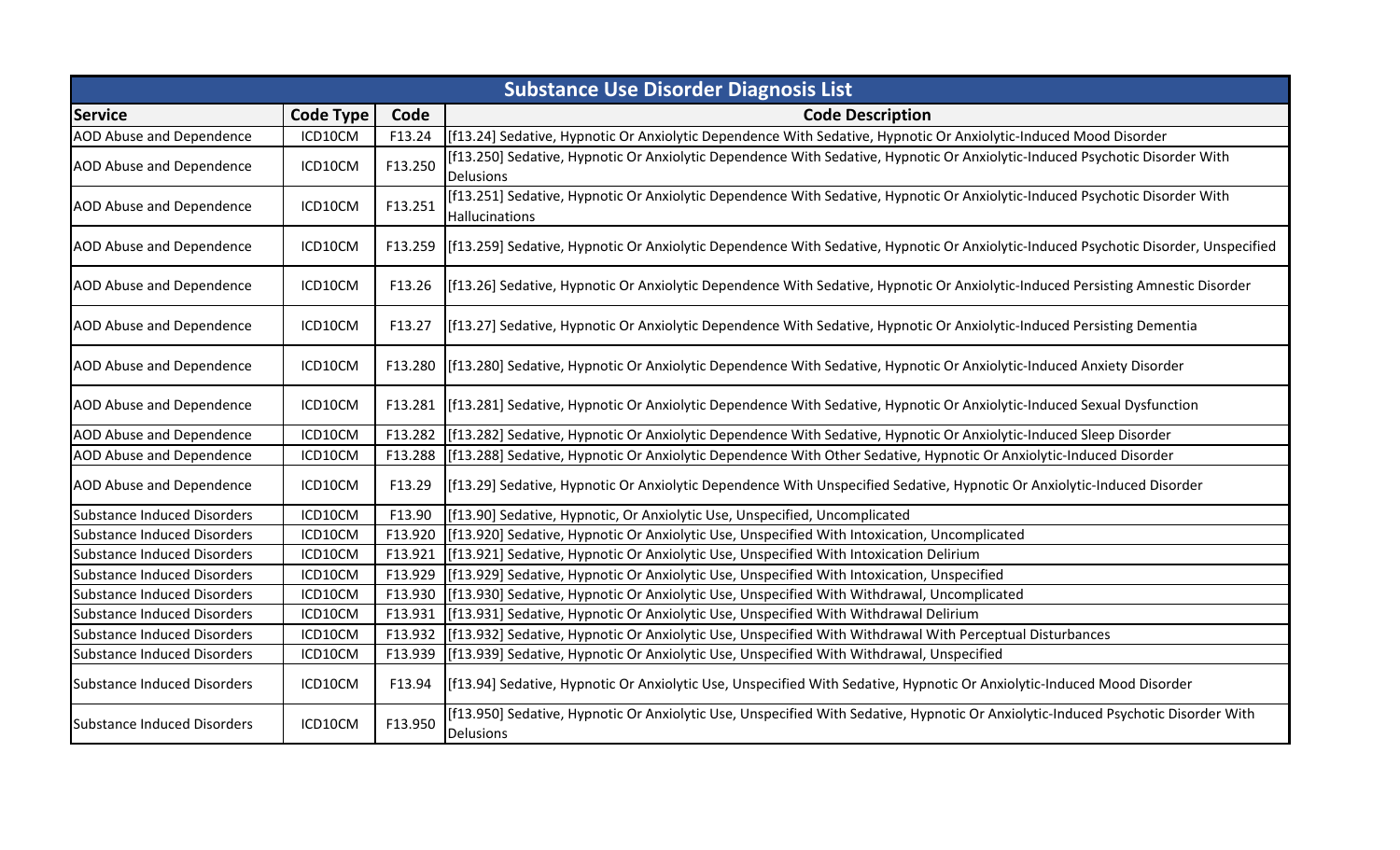|                                    | <b>Substance Use Disorder Diagnosis List</b> |         |                                                                                                                                                |  |  |
|------------------------------------|----------------------------------------------|---------|------------------------------------------------------------------------------------------------------------------------------------------------|--|--|
| <b>Service</b>                     | <b>Code Type</b>                             | Code    | <b>Code Description</b>                                                                                                                        |  |  |
| AOD Abuse and Dependence           | ICD10CM                                      | F13.24  | [f13.24] Sedative, Hypnotic Or Anxiolytic Dependence With Sedative, Hypnotic Or Anxiolytic-Induced Mood Disorder                               |  |  |
| <b>AOD Abuse and Dependence</b>    | ICD10CM                                      | F13.250 | [f13.250] Sedative, Hypnotic Or Anxiolytic Dependence With Sedative, Hypnotic Or Anxiolytic-Induced Psychotic Disorder With<br>Delusions       |  |  |
| <b>AOD Abuse and Dependence</b>    | ICD10CM                                      | F13.251 | [f13.251] Sedative, Hypnotic Or Anxiolytic Dependence With Sedative, Hypnotic Or Anxiolytic-Induced Psychotic Disorder With<br>Hallucinations  |  |  |
| <b>AOD Abuse and Dependence</b>    | ICD10CM                                      |         | F13.259 [f13.259] Sedative, Hypnotic Or Anxiolytic Dependence With Sedative, Hypnotic Or Anxiolytic-Induced Psychotic Disorder, Unspecified    |  |  |
| <b>AOD Abuse and Dependence</b>    | ICD10CM                                      | F13.26  | [f13.26] Sedative, Hypnotic Or Anxiolytic Dependence With Sedative, Hypnotic Or Anxiolytic-Induced Persisting Amnestic Disorder                |  |  |
| AOD Abuse and Dependence           | ICD10CM                                      | F13.27  | [f13.27] Sedative, Hypnotic Or Anxiolytic Dependence With Sedative, Hypnotic Or Anxiolytic-Induced Persisting Dementia                         |  |  |
| <b>AOD Abuse and Dependence</b>    | ICD10CM                                      |         | F13.280   [f13.280] Sedative, Hypnotic Or Anxiolytic Dependence With Sedative, Hypnotic Or Anxiolytic-Induced Anxiety Disorder                 |  |  |
| <b>AOD Abuse and Dependence</b>    | ICD10CM                                      |         | F13.281 [f13.281] Sedative, Hypnotic Or Anxiolytic Dependence With Sedative, Hypnotic Or Anxiolytic-Induced Sexual Dysfunction                 |  |  |
| <b>AOD Abuse and Dependence</b>    | ICD10CM                                      | F13.282 | [f13.282] Sedative, Hypnotic Or Anxiolytic Dependence With Sedative, Hypnotic Or Anxiolytic-Induced Sleep Disorder                             |  |  |
| AOD Abuse and Dependence           | ICD10CM                                      | F13.288 | [f13.288] Sedative, Hypnotic Or Anxiolytic Dependence With Other Sedative, Hypnotic Or Anxiolytic-Induced Disorder                             |  |  |
| <b>AOD Abuse and Dependence</b>    | ICD10CM                                      | F13.29  | [f13.29] Sedative, Hypnotic Or Anxiolytic Dependence With Unspecified Sedative, Hypnotic Or Anxiolytic-Induced Disorder                        |  |  |
| <b>Substance Induced Disorders</b> | ICD10CM                                      | F13.90  | [f13.90] Sedative, Hypnotic, Or Anxiolytic Use, Unspecified, Uncomplicated                                                                     |  |  |
| <b>Substance Induced Disorders</b> | ICD10CM                                      | F13.920 | [f13.920] Sedative, Hypnotic Or Anxiolytic Use, Unspecified With Intoxication, Uncomplicated                                                   |  |  |
| <b>Substance Induced Disorders</b> | ICD10CM                                      | F13.921 | [f13.921] Sedative, Hypnotic Or Anxiolytic Use, Unspecified With Intoxication Delirium                                                         |  |  |
| Substance Induced Disorders        | ICD10CM                                      | F13.929 | [f13.929] Sedative, Hypnotic Or Anxiolytic Use, Unspecified With Intoxication, Unspecified                                                     |  |  |
| <b>Substance Induced Disorders</b> | ICD10CM                                      | F13.930 | [f13.930] Sedative, Hypnotic Or Anxiolytic Use, Unspecified With Withdrawal, Uncomplicated                                                     |  |  |
| <b>Substance Induced Disorders</b> | ICD10CM                                      | F13.931 | [f13.931] Sedative, Hypnotic Or Anxiolytic Use, Unspecified With Withdrawal Delirium                                                           |  |  |
| <b>Substance Induced Disorders</b> | ICD10CM                                      | F13.932 | [f13.932] Sedative, Hypnotic Or Anxiolytic Use, Unspecified With Withdrawal With Perceptual Disturbances                                       |  |  |
| Substance Induced Disorders        | ICD10CM                                      | F13.939 | [f13.939] Sedative, Hypnotic Or Anxiolytic Use, Unspecified With Withdrawal, Unspecified                                                       |  |  |
| Substance Induced Disorders        | ICD10CM                                      | F13.94  | [f13.94] Sedative, Hypnotic Or Anxiolytic Use, Unspecified With Sedative, Hypnotic Or Anxiolytic-Induced Mood Disorder                         |  |  |
| Substance Induced Disorders        | ICD10CM                                      | F13.950 | [f13.950] Sedative, Hypnotic Or Anxiolytic Use, Unspecified With Sedative, Hypnotic Or Anxiolytic-Induced Psychotic Disorder With<br>Delusions |  |  |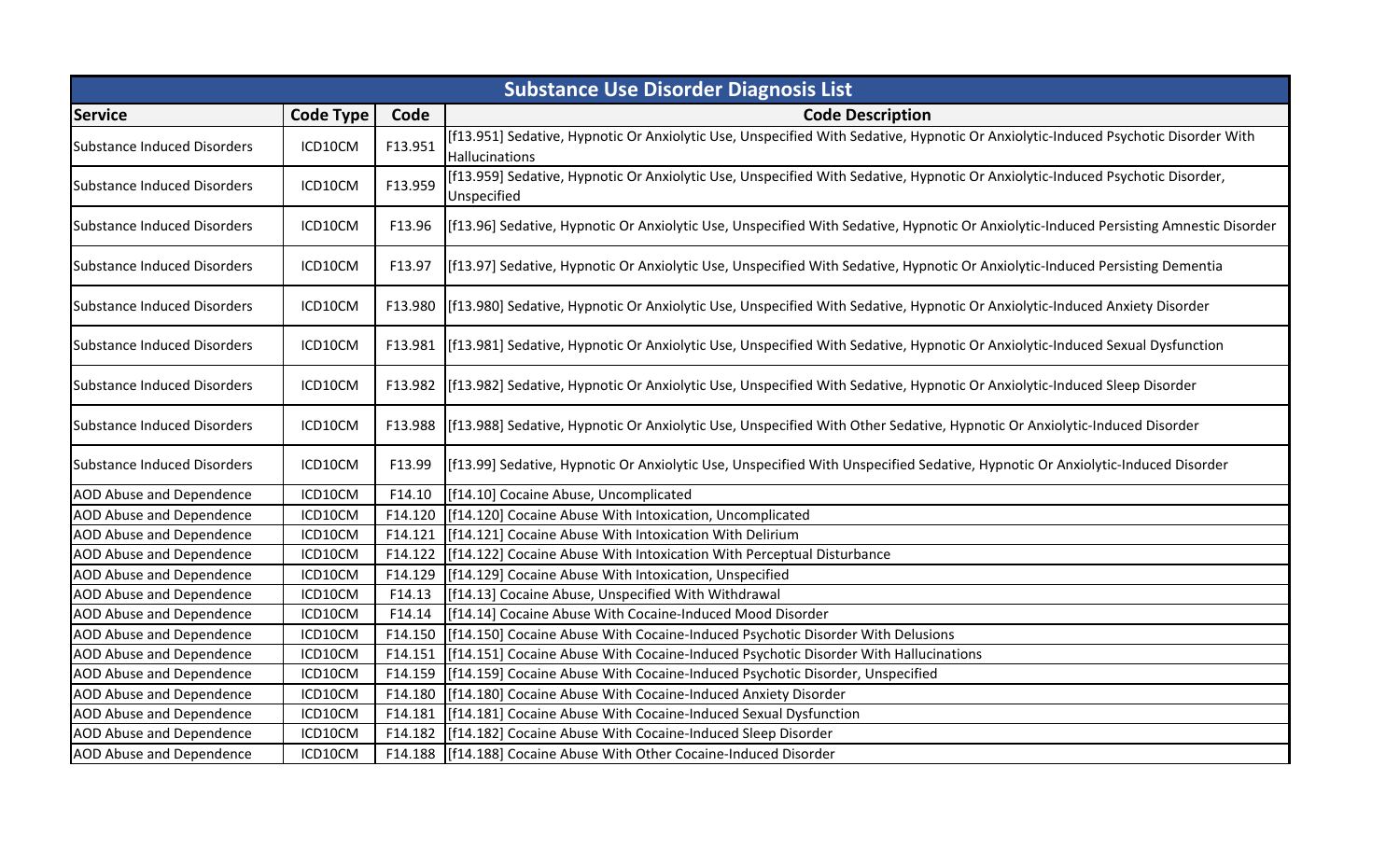|                                    | <b>Substance Use Disorder Diagnosis List</b> |         |                                                                                                                                                     |  |
|------------------------------------|----------------------------------------------|---------|-----------------------------------------------------------------------------------------------------------------------------------------------------|--|
| <b>Service</b>                     | <b>Code Type</b>                             | Code    | <b>Code Description</b>                                                                                                                             |  |
| <b>Substance Induced Disorders</b> | ICD10CM                                      | F13.951 | [f13.951] Sedative, Hypnotic Or Anxiolytic Use, Unspecified With Sedative, Hypnotic Or Anxiolytic-Induced Psychotic Disorder With<br>Hallucinations |  |
| <b>Substance Induced Disorders</b> | ICD10CM                                      | F13.959 | [f13.959] Sedative, Hypnotic Or Anxiolytic Use, Unspecified With Sedative, Hypnotic Or Anxiolytic-Induced Psychotic Disorder,<br>Unspecified        |  |
| <b>Substance Induced Disorders</b> | ICD10CM                                      | F13.96  | [f13.96] Sedative, Hypnotic Or Anxiolytic Use, Unspecified With Sedative, Hypnotic Or Anxiolytic-Induced Persisting Amnestic Disorder               |  |
| <b>Substance Induced Disorders</b> | ICD10CM                                      | F13.97  | [f13.97] Sedative, Hypnotic Or Anxiolytic Use, Unspecified With Sedative, Hypnotic Or Anxiolytic-Induced Persisting Dementia                        |  |
| <b>Substance Induced Disorders</b> | ICD10CM                                      | F13.980 | [f13.980] Sedative, Hypnotic Or Anxiolytic Use, Unspecified With Sedative, Hypnotic Or Anxiolytic-Induced Anxiety Disorder                          |  |
| <b>Substance Induced Disorders</b> | ICD10CM                                      |         | F13.981 [f13.981] Sedative, Hypnotic Or Anxiolytic Use, Unspecified With Sedative, Hypnotic Or Anxiolytic-Induced Sexual Dysfunction                |  |
| <b>Substance Induced Disorders</b> | ICD10CM                                      |         | F13.982 [f13.982] Sedative, Hypnotic Or Anxiolytic Use, Unspecified With Sedative, Hypnotic Or Anxiolytic-Induced Sleep Disorder                    |  |
| <b>Substance Induced Disorders</b> | ICD10CM                                      |         | F13.988 [f13.988] Sedative, Hypnotic Or Anxiolytic Use, Unspecified With Other Sedative, Hypnotic Or Anxiolytic-Induced Disorder                    |  |
| <b>Substance Induced Disorders</b> | ICD10CM                                      | F13.99  | [f13.99] Sedative, Hypnotic Or Anxiolytic Use, Unspecified With Unspecified Sedative, Hypnotic Or Anxiolytic-Induced Disorder                       |  |
| <b>AOD Abuse and Dependence</b>    | ICD10CM                                      | F14.10  | [f14.10] Cocaine Abuse, Uncomplicated                                                                                                               |  |
| <b>AOD Abuse and Dependence</b>    | ICD10CM                                      | F14.120 | [f14.120] Cocaine Abuse With Intoxication, Uncomplicated                                                                                            |  |
| AOD Abuse and Dependence           | ICD10CM                                      | F14.121 | [f14.121] Cocaine Abuse With Intoxication With Delirium                                                                                             |  |
| <b>AOD Abuse and Dependence</b>    | ICD10CM                                      | F14.122 | [f14.122] Cocaine Abuse With Intoxication With Perceptual Disturbance                                                                               |  |
| AOD Abuse and Dependence           | ICD10CM                                      | F14.129 | [f14.129] Cocaine Abuse With Intoxication, Unspecified                                                                                              |  |
| <b>AOD Abuse and Dependence</b>    | ICD10CM                                      | F14.13  | [[f14.13] Cocaine Abuse, Unspecified With Withdrawal                                                                                                |  |
| <b>AOD Abuse and Dependence</b>    | ICD10CM                                      | F14.14  | [[f14.14] Cocaine Abuse With Cocaine-Induced Mood Disorder                                                                                          |  |
| <b>AOD Abuse and Dependence</b>    | ICD10CM                                      | F14.150 | [f14.150] Cocaine Abuse With Cocaine-Induced Psychotic Disorder With Delusions                                                                      |  |
| <b>AOD Abuse and Dependence</b>    | ICD10CM                                      | F14.151 | [f14.151] Cocaine Abuse With Cocaine-Induced Psychotic Disorder With Hallucinations                                                                 |  |
| AOD Abuse and Dependence           | ICD10CM                                      | F14.159 | [f14.159] Cocaine Abuse With Cocaine-Induced Psychotic Disorder, Unspecified                                                                        |  |
| AOD Abuse and Dependence           | ICD10CM                                      | F14.180 | [[f14.180] Cocaine Abuse With Cocaine-Induced Anxiety Disorder                                                                                      |  |
| <b>AOD Abuse and Dependence</b>    | ICD10CM                                      | F14.181 | [[f14.181] Cocaine Abuse With Cocaine-Induced Sexual Dysfunction                                                                                    |  |
| <b>AOD Abuse and Dependence</b>    | ICD10CM                                      |         | F14.182   [f14.182] Cocaine Abuse With Cocaine-Induced Sleep Disorder                                                                               |  |
| <b>AOD Abuse and Dependence</b>    | ICD10CM                                      |         | F14.188   [f14.188] Cocaine Abuse With Other Cocaine-Induced Disorder                                                                               |  |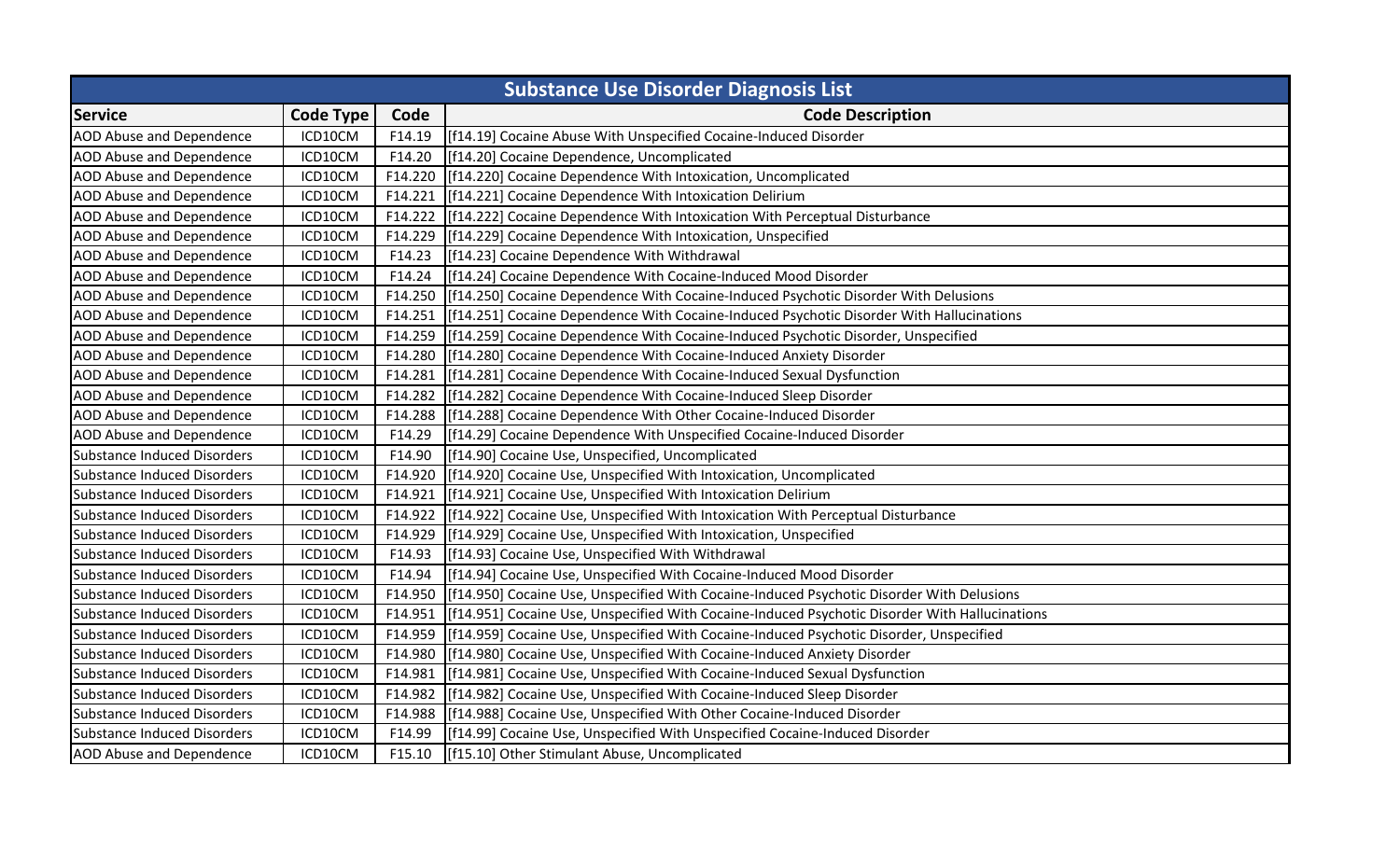| <b>Substance Use Disorder Diagnosis List</b> |                  |         |                                                                                                    |
|----------------------------------------------|------------------|---------|----------------------------------------------------------------------------------------------------|
| <b>Service</b>                               | <b>Code Type</b> | Code    | <b>Code Description</b>                                                                            |
| <b>AOD Abuse and Dependence</b>              | ICD10CM          | F14.19  | [f14.19] Cocaine Abuse With Unspecified Cocaine-Induced Disorder                                   |
| <b>AOD Abuse and Dependence</b>              | ICD10CM          | F14.20  | [f14.20] Cocaine Dependence, Uncomplicated                                                         |
| AOD Abuse and Dependence                     | ICD10CM          | F14.220 | [f14.220] Cocaine Dependence With Intoxication, Uncomplicated                                      |
| <b>AOD Abuse and Dependence</b>              | ICD10CM          | F14.221 | [f14.221] Cocaine Dependence With Intoxication Delirium                                            |
| <b>AOD Abuse and Dependence</b>              | ICD10CM          | F14.222 | [f14.222] Cocaine Dependence With Intoxication With Perceptual Disturbance                         |
| <b>AOD Abuse and Dependence</b>              | ICD10CM          | F14.229 | [f14.229] Cocaine Dependence With Intoxication, Unspecified                                        |
| <b>AOD Abuse and Dependence</b>              | ICD10CM          | F14.23  | [f14.23] Cocaine Dependence With Withdrawal                                                        |
| <b>AOD Abuse and Dependence</b>              | ICD10CM          | F14.24  | [f14.24] Cocaine Dependence With Cocaine-Induced Mood Disorder                                     |
| <b>AOD Abuse and Dependence</b>              | ICD10CM          |         | F14.250 [f14.250] Cocaine Dependence With Cocaine-Induced Psychotic Disorder With Delusions        |
| <b>AOD Abuse and Dependence</b>              | ICD10CM          | F14.251 | [f14.251] Cocaine Dependence With Cocaine-Induced Psychotic Disorder With Hallucinations           |
| <b>AOD Abuse and Dependence</b>              | ICD10CM          |         | F14.259 [f14.259] Cocaine Dependence With Cocaine-Induced Psychotic Disorder, Unspecified          |
| <b>AOD Abuse and Dependence</b>              | ICD10CM          | F14.280 | [f14.280] Cocaine Dependence With Cocaine-Induced Anxiety Disorder                                 |
| <b>AOD Abuse and Dependence</b>              | ICD10CM          | F14.281 | [f14.281] Cocaine Dependence With Cocaine-Induced Sexual Dysfunction                               |
| <b>AOD Abuse and Dependence</b>              | ICD10CM          | F14.282 | [f14.282] Cocaine Dependence With Cocaine-Induced Sleep Disorder                                   |
| <b>AOD Abuse and Dependence</b>              | ICD10CM          | F14.288 | [f14.288] Cocaine Dependence With Other Cocaine-Induced Disorder                                   |
| <b>AOD Abuse and Dependence</b>              | ICD10CM          | F14.29  | [f14.29] Cocaine Dependence With Unspecified Cocaine-Induced Disorder                              |
| <b>Substance Induced Disorders</b>           | ICD10CM          | F14.90  | [f14.90] Cocaine Use, Unspecified, Uncomplicated                                                   |
| Substance Induced Disorders                  | ICD10CM          | F14.920 | [f14.920] Cocaine Use, Unspecified With Intoxication, Uncomplicated                                |
| Substance Induced Disorders                  | ICD10CM          | F14.921 | [f14.921] Cocaine Use, Unspecified With Intoxication Delirium                                      |
| Substance Induced Disorders                  | ICD10CM          | F14.922 | [f14.922] Cocaine Use, Unspecified With Intoxication With Perceptual Disturbance                   |
| <b>Substance Induced Disorders</b>           | ICD10CM          | F14.929 | [f14.929] Cocaine Use, Unspecified With Intoxication, Unspecified                                  |
| <b>Substance Induced Disorders</b>           | ICD10CM          | F14.93  | [f14.93] Cocaine Use, Unspecified With Withdrawal                                                  |
| <b>Substance Induced Disorders</b>           | ICD10CM          | F14.94  | [f14.94] Cocaine Use, Unspecified With Cocaine-Induced Mood Disorder                               |
| Substance Induced Disorders                  | ICD10CM          |         | F14.950 [[f14.950] Cocaine Use, Unspecified With Cocaine-Induced Psychotic Disorder With Delusions |
| Substance Induced Disorders                  | ICD10CM          | F14.951 | [f14.951] Cocaine Use, Unspecified With Cocaine-Induced Psychotic Disorder With Hallucinations     |
| Substance Induced Disorders                  | ICD10CM          | F14.959 | [f14.959] Cocaine Use, Unspecified With Cocaine-Induced Psychotic Disorder, Unspecified            |
| Substance Induced Disorders                  | ICD10CM          | F14.980 | [[f14.980] Cocaine Use, Unspecified With Cocaine-Induced Anxiety Disorder                          |
| <b>Substance Induced Disorders</b>           | ICD10CM          | F14.981 | [f14.981] Cocaine Use, Unspecified With Cocaine-Induced Sexual Dysfunction                         |
| Substance Induced Disorders                  | ICD10CM          | F14.982 | [f14.982] Cocaine Use, Unspecified With Cocaine-Induced Sleep Disorder                             |
| Substance Induced Disorders                  | ICD10CM          | F14.988 | [f14.988] Cocaine Use, Unspecified With Other Cocaine-Induced Disorder                             |
| Substance Induced Disorders                  | ICD10CM          | F14.99  | [f14.99] Cocaine Use, Unspecified With Unspecified Cocaine-Induced Disorder                        |
| <b>AOD Abuse and Dependence</b>              | ICD10CM          | F15.10  | [f15.10] Other Stimulant Abuse, Uncomplicated                                                      |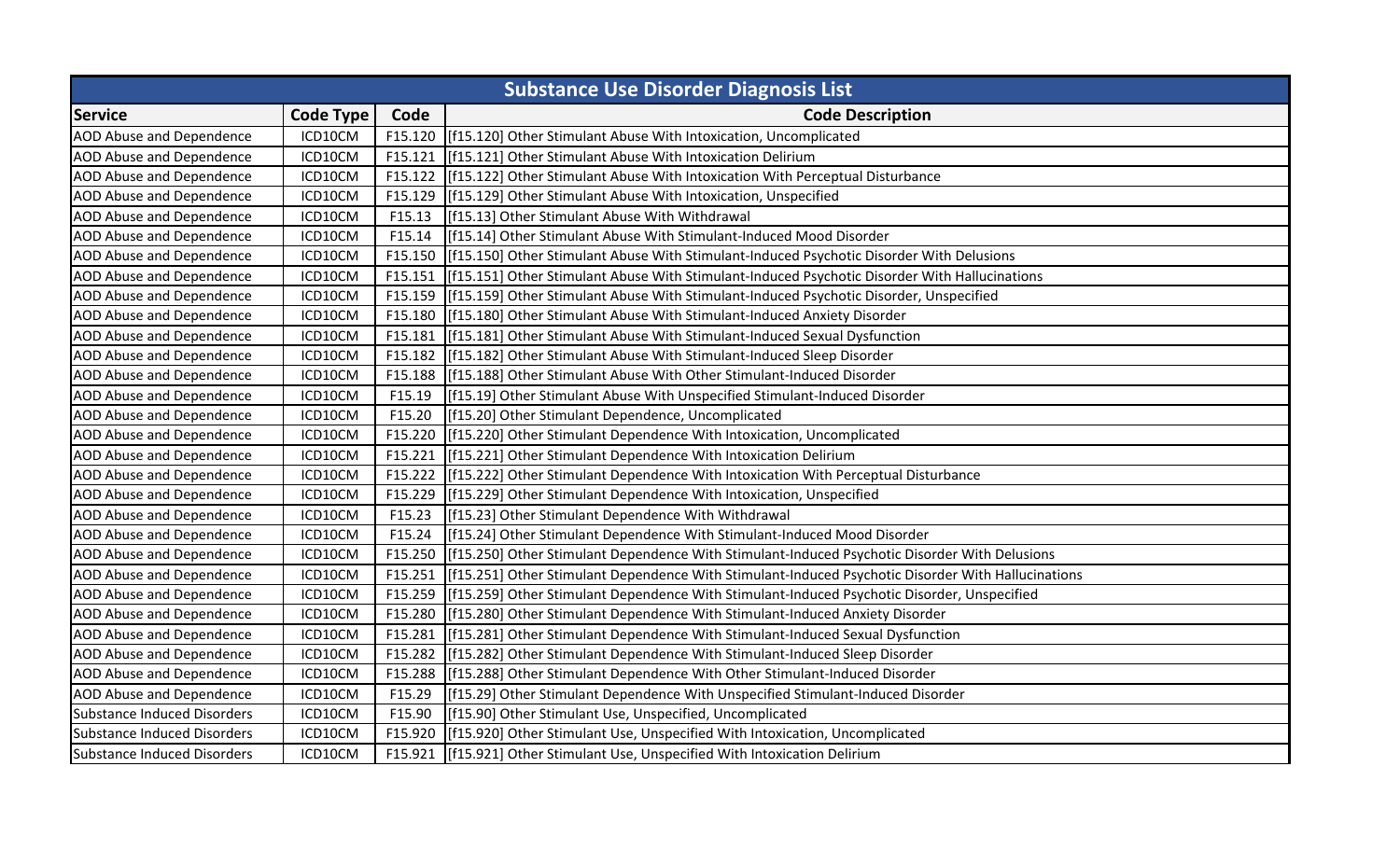| <b>Substance Use Disorder Diagnosis List</b> |                  |         |                                                                                                    |
|----------------------------------------------|------------------|---------|----------------------------------------------------------------------------------------------------|
| <b>Service</b>                               | <b>Code Type</b> | Code    | <b>Code Description</b>                                                                            |
| <b>AOD Abuse and Dependence</b>              | ICD10CM          |         | F15.120 [f15.120] Other Stimulant Abuse With Intoxication, Uncomplicated                           |
| <b>AOD Abuse and Dependence</b>              | ICD10CM          | F15.121 | [f15.121] Other Stimulant Abuse With Intoxication Delirium                                         |
| AOD Abuse and Dependence                     | ICD10CM          | F15.122 | [f15.122] Other Stimulant Abuse With Intoxication With Perceptual Disturbance                      |
| AOD Abuse and Dependence                     | ICD10CM          | F15.129 | [f15.129] Other Stimulant Abuse With Intoxication, Unspecified                                     |
| <b>AOD Abuse and Dependence</b>              | ICD10CM          | F15.13  | [f15.13] Other Stimulant Abuse With Withdrawal                                                     |
| <b>AOD Abuse and Dependence</b>              | ICD10CM          | F15.14  | [f15.14] Other Stimulant Abuse With Stimulant-Induced Mood Disorder                                |
| <b>AOD Abuse and Dependence</b>              | ICD10CM          | F15.150 | [[f15.150] Other Stimulant Abuse With Stimulant-Induced Psychotic Disorder With Delusions          |
| AOD Abuse and Dependence                     | ICD10CM          | F15.151 | [f15.151] Other Stimulant Abuse With Stimulant-Induced Psychotic Disorder With Hallucinations      |
| <b>AOD Abuse and Dependence</b>              | ICD10CM          | F15.159 | [f15.159] Other Stimulant Abuse With Stimulant-Induced Psychotic Disorder, Unspecified             |
| AOD Abuse and Dependence                     | ICD10CM          | F15.180 | [f15.180] Other Stimulant Abuse With Stimulant-Induced Anxiety Disorder                            |
| <b>AOD Abuse and Dependence</b>              | ICD10CM          | F15.181 | [f15.181] Other Stimulant Abuse With Stimulant-Induced Sexual Dysfunction                          |
| <b>AOD Abuse and Dependence</b>              | ICD10CM          | F15.182 | [f15.182] Other Stimulant Abuse With Stimulant-Induced Sleep Disorder                              |
| AOD Abuse and Dependence                     | ICD10CM          | F15.188 | [f15.188] Other Stimulant Abuse With Other Stimulant-Induced Disorder                              |
| <b>AOD Abuse and Dependence</b>              | ICD10CM          | F15.19  | [f15.19] Other Stimulant Abuse With Unspecified Stimulant-Induced Disorder                         |
| AOD Abuse and Dependence                     | ICD10CM          | F15.20  | [f15.20] Other Stimulant Dependence, Uncomplicated                                                 |
| AOD Abuse and Dependence                     | ICD10CM          | F15.220 | [f15.220] Other Stimulant Dependence With Intoxication, Uncomplicated                              |
| <b>AOD Abuse and Dependence</b>              | ICD10CM          | F15.221 | [f15.221] Other Stimulant Dependence With Intoxication Delirium                                    |
| <b>AOD Abuse and Dependence</b>              | ICD10CM          | F15.222 | [f15.222] Other Stimulant Dependence With Intoxication With Perceptual Disturbance                 |
| AOD Abuse and Dependence                     | ICD10CM          | F15.229 | [f15.229] Other Stimulant Dependence With Intoxication, Unspecified                                |
| AOD Abuse and Dependence                     | ICD10CM          | F15.23  | [f15.23] Other Stimulant Dependence With Withdrawal                                                |
| <b>AOD Abuse and Dependence</b>              | ICD10CM          | F15.24  | [f15.24] Other Stimulant Dependence With Stimulant-Induced Mood Disorder                           |
| AOD Abuse and Dependence                     | ICD10CM          | F15.250 | [f15.250] Other Stimulant Dependence With Stimulant-Induced Psychotic Disorder With Delusions      |
| <b>AOD Abuse and Dependence</b>              | ICD10CM          | F15.251 | [f15.251] Other Stimulant Dependence With Stimulant-Induced Psychotic Disorder With Hallucinations |
| <b>AOD Abuse and Dependence</b>              | ICD10CM          | F15.259 | [f15.259] Other Stimulant Dependence With Stimulant-Induced Psychotic Disorder, Unspecified        |
| AOD Abuse and Dependence                     | ICD10CM          | F15.280 | [f15.280] Other Stimulant Dependence With Stimulant-Induced Anxiety Disorder                       |
| <b>AOD Abuse and Dependence</b>              | ICD10CM          | F15.281 | [f15.281] Other Stimulant Dependence With Stimulant-Induced Sexual Dysfunction                     |
| <b>AOD Abuse and Dependence</b>              | ICD10CM          | F15.282 | [f15.282] Other Stimulant Dependence With Stimulant-Induced Sleep Disorder                         |
| <b>AOD Abuse and Dependence</b>              | ICD10CM          | F15.288 | [f15.288] Other Stimulant Dependence With Other Stimulant-Induced Disorder                         |
| <b>AOD Abuse and Dependence</b>              | ICD10CM          | F15.29  | [f15.29] Other Stimulant Dependence With Unspecified Stimulant-Induced Disorder                    |
| Substance Induced Disorders                  | ICD10CM          | F15.90  | [f15.90] Other Stimulant Use, Unspecified, Uncomplicated                                           |
| Substance Induced Disorders                  | ICD10CM          | F15.920 | [f15.920] Other Stimulant Use, Unspecified With Intoxication, Uncomplicated                        |
| <b>Substance Induced Disorders</b>           | ICD10CM          | F15.921 | [f15.921] Other Stimulant Use, Unspecified With Intoxication Delirium                              |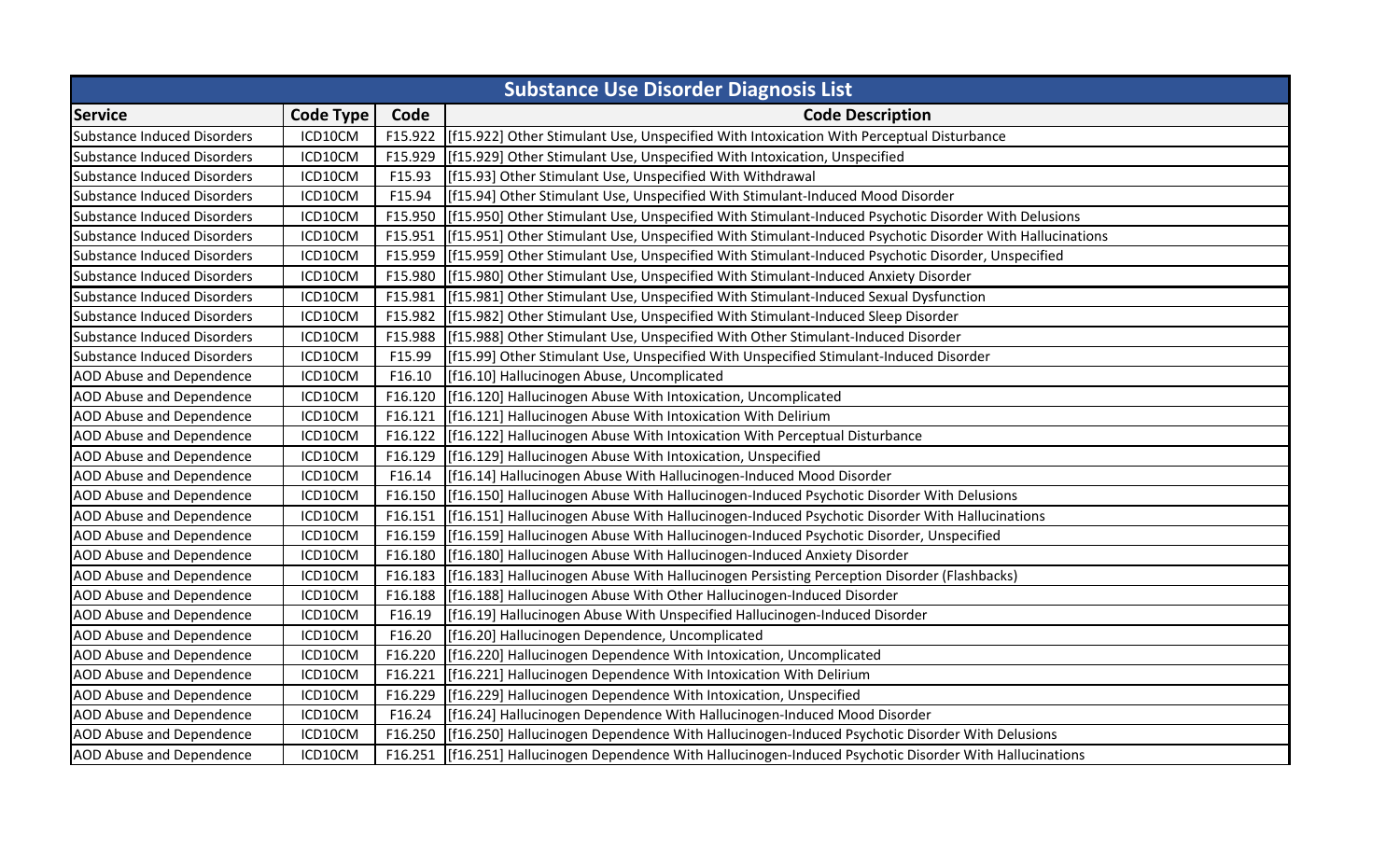|                                    | <b>Substance Use Disorder Diagnosis List</b> |         |                                                                                                          |  |  |
|------------------------------------|----------------------------------------------|---------|----------------------------------------------------------------------------------------------------------|--|--|
| <b>Service</b>                     | <b>Code Type</b>                             | Code    | <b>Code Description</b>                                                                                  |  |  |
| Substance Induced Disorders        | ICD10CM                                      |         | F15.922 [f15.922] Other Stimulant Use, Unspecified With Intoxication With Perceptual Disturbance         |  |  |
| Substance Induced Disorders        | ICD10CM                                      | F15.929 | [f15.929] Other Stimulant Use, Unspecified With Intoxication, Unspecified                                |  |  |
| Substance Induced Disorders        | ICD10CM                                      | F15.93  | [f15.93] Other Stimulant Use, Unspecified With Withdrawal                                                |  |  |
| <b>Substance Induced Disorders</b> | ICD10CM                                      | F15.94  | [f15.94] Other Stimulant Use, Unspecified With Stimulant-Induced Mood Disorder                           |  |  |
| <b>Substance Induced Disorders</b> | ICD10CM                                      | F15.950 | [f15.950] Other Stimulant Use, Unspecified With Stimulant-Induced Psychotic Disorder With Delusions      |  |  |
| Substance Induced Disorders        | ICD10CM                                      | F15.951 | [f15.951] Other Stimulant Use, Unspecified With Stimulant-Induced Psychotic Disorder With Hallucinations |  |  |
| Substance Induced Disorders        | ICD10CM                                      | F15.959 | [f15.959] Other Stimulant Use, Unspecified With Stimulant-Induced Psychotic Disorder, Unspecified        |  |  |
| Substance Induced Disorders        | ICD10CM                                      | F15.980 | [f15.980] Other Stimulant Use, Unspecified With Stimulant-Induced Anxiety Disorder                       |  |  |
| <b>Substance Induced Disorders</b> | ICD10CM                                      | F15.981 | [f15.981] Other Stimulant Use, Unspecified With Stimulant-Induced Sexual Dysfunction                     |  |  |
| <b>Substance Induced Disorders</b> | ICD10CM                                      | F15.982 | [f15.982] Other Stimulant Use, Unspecified With Stimulant-Induced Sleep Disorder                         |  |  |
| <b>Substance Induced Disorders</b> | ICD10CM                                      | F15.988 | [f15.988] Other Stimulant Use, Unspecified With Other Stimulant-Induced Disorder                         |  |  |
| <b>Substance Induced Disorders</b> | ICD10CM                                      | F15.99  | [f15.99] Other Stimulant Use, Unspecified With Unspecified Stimulant-Induced Disorder                    |  |  |
| <b>AOD Abuse and Dependence</b>    | ICD10CM                                      | F16.10  | [f16.10] Hallucinogen Abuse, Uncomplicated                                                               |  |  |
| <b>AOD Abuse and Dependence</b>    | ICD10CM                                      | F16.120 | [f16.120] Hallucinogen Abuse With Intoxication, Uncomplicated                                            |  |  |
| <b>AOD Abuse and Dependence</b>    | ICD10CM                                      | F16.121 | [f16.121] Hallucinogen Abuse With Intoxication With Delirium                                             |  |  |
| AOD Abuse and Dependence           | ICD10CM                                      | F16.122 | [f16.122] Hallucinogen Abuse With Intoxication With Perceptual Disturbance                               |  |  |
| <b>AOD Abuse and Dependence</b>    | ICD10CM                                      | F16.129 | [f16.129] Hallucinogen Abuse With Intoxication, Unspecified                                              |  |  |
| AOD Abuse and Dependence           | ICD10CM                                      | F16.14  | [f16.14] Hallucinogen Abuse With Hallucinogen-Induced Mood Disorder                                      |  |  |
| <b>AOD Abuse and Dependence</b>    | ICD10CM                                      | F16.150 | [f16.150] Hallucinogen Abuse With Hallucinogen-Induced Psychotic Disorder With Delusions                 |  |  |
| <b>AOD Abuse and Dependence</b>    | ICD10CM                                      | F16.151 | [f16.151] Hallucinogen Abuse With Hallucinogen-Induced Psychotic Disorder With Hallucinations            |  |  |
| AOD Abuse and Dependence           | ICD10CM                                      | F16.159 | [f16.159] Hallucinogen Abuse With Hallucinogen-Induced Psychotic Disorder, Unspecified                   |  |  |
| <b>AOD Abuse and Dependence</b>    | ICD10CM                                      | F16.180 | [f16.180] Hallucinogen Abuse With Hallucinogen-Induced Anxiety Disorder                                  |  |  |
| AOD Abuse and Dependence           | ICD10CM                                      | F16.183 | [f16.183] Hallucinogen Abuse With Hallucinogen Persisting Perception Disorder (Flashbacks)               |  |  |
| <b>AOD Abuse and Dependence</b>    | ICD10CM                                      | F16.188 | [f16.188] Hallucinogen Abuse With Other Hallucinogen-Induced Disorder                                    |  |  |
| AOD Abuse and Dependence           | ICD10CM                                      | F16.19  | [f16.19] Hallucinogen Abuse With Unspecified Hallucinogen-Induced Disorder                               |  |  |
| AOD Abuse and Dependence           | ICD10CM                                      | F16.20  | [f16.20] Hallucinogen Dependence, Uncomplicated                                                          |  |  |
| <b>AOD Abuse and Dependence</b>    | ICD10CM                                      | F16.220 | [f16.220] Hallucinogen Dependence With Intoxication, Uncomplicated                                       |  |  |
| AOD Abuse and Dependence           | ICD10CM                                      | F16.221 | [f16.221] Hallucinogen Dependence With Intoxication With Delirium                                        |  |  |
| <b>AOD Abuse and Dependence</b>    | ICD10CM                                      | F16.229 | [f16.229] Hallucinogen Dependence With Intoxication, Unspecified                                         |  |  |
| <b>AOD Abuse and Dependence</b>    | ICD10CM                                      | F16.24  | [f16.24] Hallucinogen Dependence With Hallucinogen-Induced Mood Disorder                                 |  |  |
| AOD Abuse and Dependence           | ICD10CM                                      | F16.250 | [f16.250] Hallucinogen Dependence With Hallucinogen-Induced Psychotic Disorder With Delusions            |  |  |
| <b>AOD Abuse and Dependence</b>    | ICD10CM                                      | F16.251 | [f16.251] Hallucinogen Dependence With Hallucinogen-Induced Psychotic Disorder With Hallucinations       |  |  |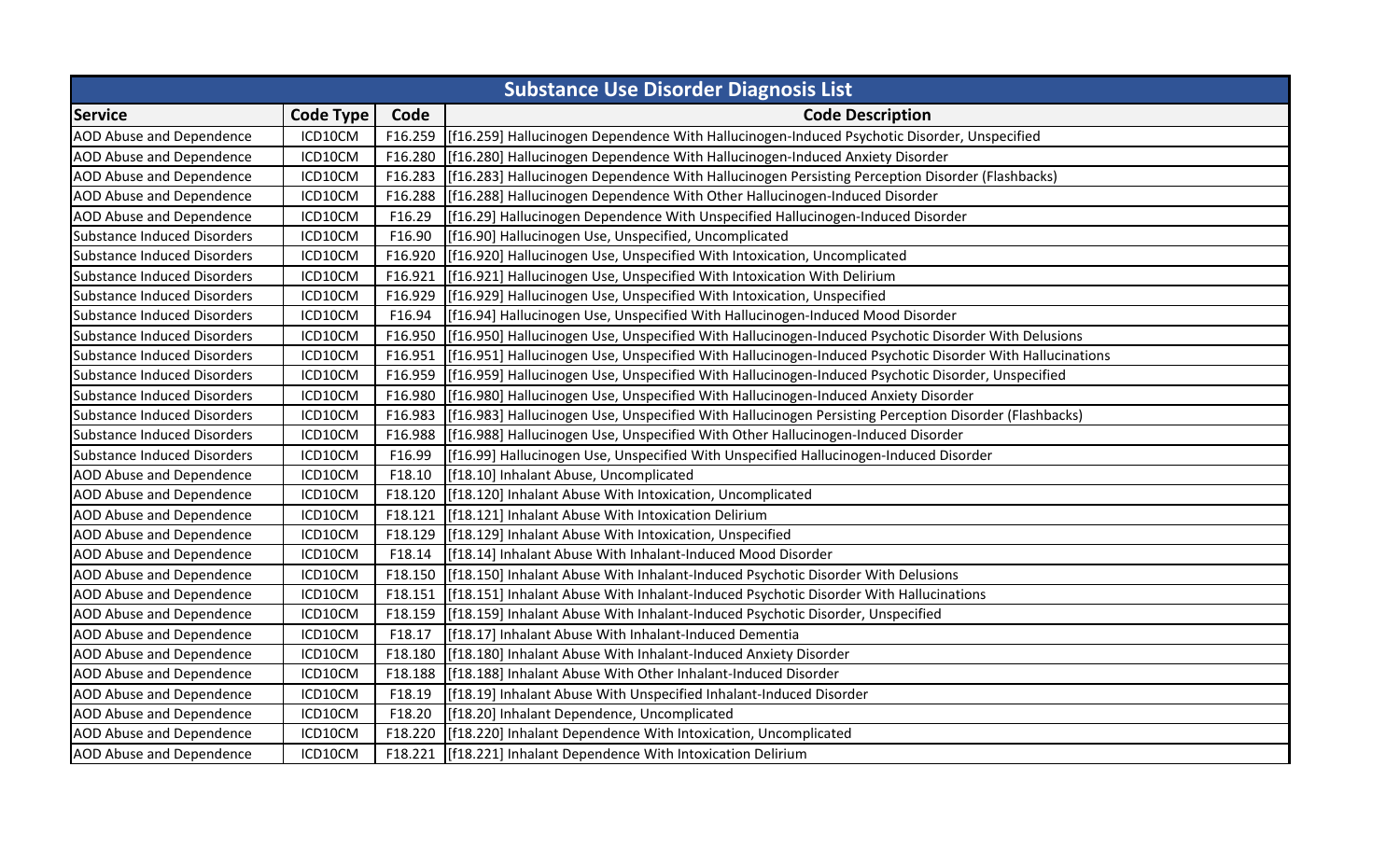| <b>Substance Use Disorder Diagnosis List</b> |                  |         |                                                                                                          |
|----------------------------------------------|------------------|---------|----------------------------------------------------------------------------------------------------------|
| <b>Service</b>                               | <b>Code Type</b> | Code    | <b>Code Description</b>                                                                                  |
| <b>AOD Abuse and Dependence</b>              | ICD10CM          |         | F16.259 [f16.259] Hallucinogen Dependence With Hallucinogen-Induced Psychotic Disorder, Unspecified      |
| <b>AOD Abuse and Dependence</b>              | ICD10CM          | F16.280 | [f16.280] Hallucinogen Dependence With Hallucinogen-Induced Anxiety Disorder                             |
| AOD Abuse and Dependence                     | ICD10CM          | F16.283 | [f16.283] Hallucinogen Dependence With Hallucinogen Persisting Perception Disorder (Flashbacks)          |
| AOD Abuse and Dependence                     | ICD10CM          | F16.288 | [f16.288] Hallucinogen Dependence With Other Hallucinogen-Induced Disorder                               |
| <b>AOD Abuse and Dependence</b>              | ICD10CM          | F16.29  | [f16.29] Hallucinogen Dependence With Unspecified Hallucinogen-Induced Disorder                          |
| Substance Induced Disorders                  | ICD10CM          | F16.90  | [f16.90] Hallucinogen Use, Unspecified, Uncomplicated                                                    |
| <b>Substance Induced Disorders</b>           | ICD10CM          | F16.920 | [f16.920] Hallucinogen Use, Unspecified With Intoxication, Uncomplicated                                 |
| Substance Induced Disorders                  | ICD10CM          | F16.921 | [f16.921] Hallucinogen Use, Unspecified With Intoxication With Delirium                                  |
| Substance Induced Disorders                  | ICD10CM          | F16.929 | [f16.929] Hallucinogen Use, Unspecified With Intoxication, Unspecified                                   |
| Substance Induced Disorders                  | ICD10CM          | F16.94  | [[f16.94] Hallucinogen Use, Unspecified With Hallucinogen-Induced Mood Disorder                          |
| <b>Substance Induced Disorders</b>           | ICD10CM          | F16.950 | [f16.950] Hallucinogen Use, Unspecified With Hallucinogen-Induced Psychotic Disorder With Delusions      |
| Substance Induced Disorders                  | ICD10CM          | F16.951 | [f16.951] Hallucinogen Use, Unspecified With Hallucinogen-Induced Psychotic Disorder With Hallucinations |
| Substance Induced Disorders                  | ICD10CM          | F16.959 | [f16.959] Hallucinogen Use, Unspecified With Hallucinogen-Induced Psychotic Disorder, Unspecified        |
| Substance Induced Disorders                  | ICD10CM          | F16.980 | [f16.980] Hallucinogen Use, Unspecified With Hallucinogen-Induced Anxiety Disorder                       |
| Substance Induced Disorders                  | ICD10CM          | F16.983 | [f16.983] Hallucinogen Use, Unspecified With Hallucinogen Persisting Perception Disorder (Flashbacks)    |
| Substance Induced Disorders                  | ICD10CM          | F16.988 | [f16.988] Hallucinogen Use, Unspecified With Other Hallucinogen-Induced Disorder                         |
| <b>Substance Induced Disorders</b>           | ICD10CM          | F16.99  | [f16.99] Hallucinogen Use, Unspecified With Unspecified Hallucinogen-Induced Disorder                    |
| <b>AOD Abuse and Dependence</b>              | ICD10CM          | F18.10  | [f18.10] Inhalant Abuse, Uncomplicated                                                                   |
| AOD Abuse and Dependence                     | ICD10CM          | F18.120 | [f18.120] Inhalant Abuse With Intoxication, Uncomplicated                                                |
| <b>AOD Abuse and Dependence</b>              | ICD10CM          | F18.121 | [f18.121] Inhalant Abuse With Intoxication Delirium                                                      |
| <b>AOD Abuse and Dependence</b>              | ICD10CM          | F18.129 | [f18.129] Inhalant Abuse With Intoxication, Unspecified                                                  |
| AOD Abuse and Dependence                     | ICD10CM          | F18.14  | [f18.14] Inhalant Abuse With Inhalant-Induced Mood Disorder                                              |
| AOD Abuse and Dependence                     | ICD10CM          | F18.150 | [f18.150] Inhalant Abuse With Inhalant-Induced Psychotic Disorder With Delusions                         |
| <b>AOD Abuse and Dependence</b>              | ICD10CM          | F18.151 | [f18.151] Inhalant Abuse With Inhalant-Induced Psychotic Disorder With Hallucinations                    |
| <b>AOD Abuse and Dependence</b>              | ICD10CM          | F18.159 | [f18.159] Inhalant Abuse With Inhalant-Induced Psychotic Disorder, Unspecified                           |
| <b>AOD Abuse and Dependence</b>              | ICD10CM          | F18.17  | [f18.17] Inhalant Abuse With Inhalant-Induced Dementia                                                   |
| <b>AOD Abuse and Dependence</b>              | ICD10CM          | F18.180 | [f18.180] Inhalant Abuse With Inhalant-Induced Anxiety Disorder                                          |
| <b>AOD Abuse and Dependence</b>              | ICD10CM          | F18.188 | [f18.188] Inhalant Abuse With Other Inhalant-Induced Disorder                                            |
| <b>AOD Abuse and Dependence</b>              | ICD10CM          | F18.19  | [f18.19] Inhalant Abuse With Unspecified Inhalant-Induced Disorder                                       |
| <b>AOD Abuse and Dependence</b>              | ICD10CM          | F18.20  | [f18.20] Inhalant Dependence, Uncomplicated                                                              |
| AOD Abuse and Dependence                     | ICD10CM          | F18.220 | [f18.220] Inhalant Dependence With Intoxication, Uncomplicated                                           |
| <b>AOD Abuse and Dependence</b>              | ICD10CM          | F18.221 | [f18.221] Inhalant Dependence With Intoxication Delirium                                                 |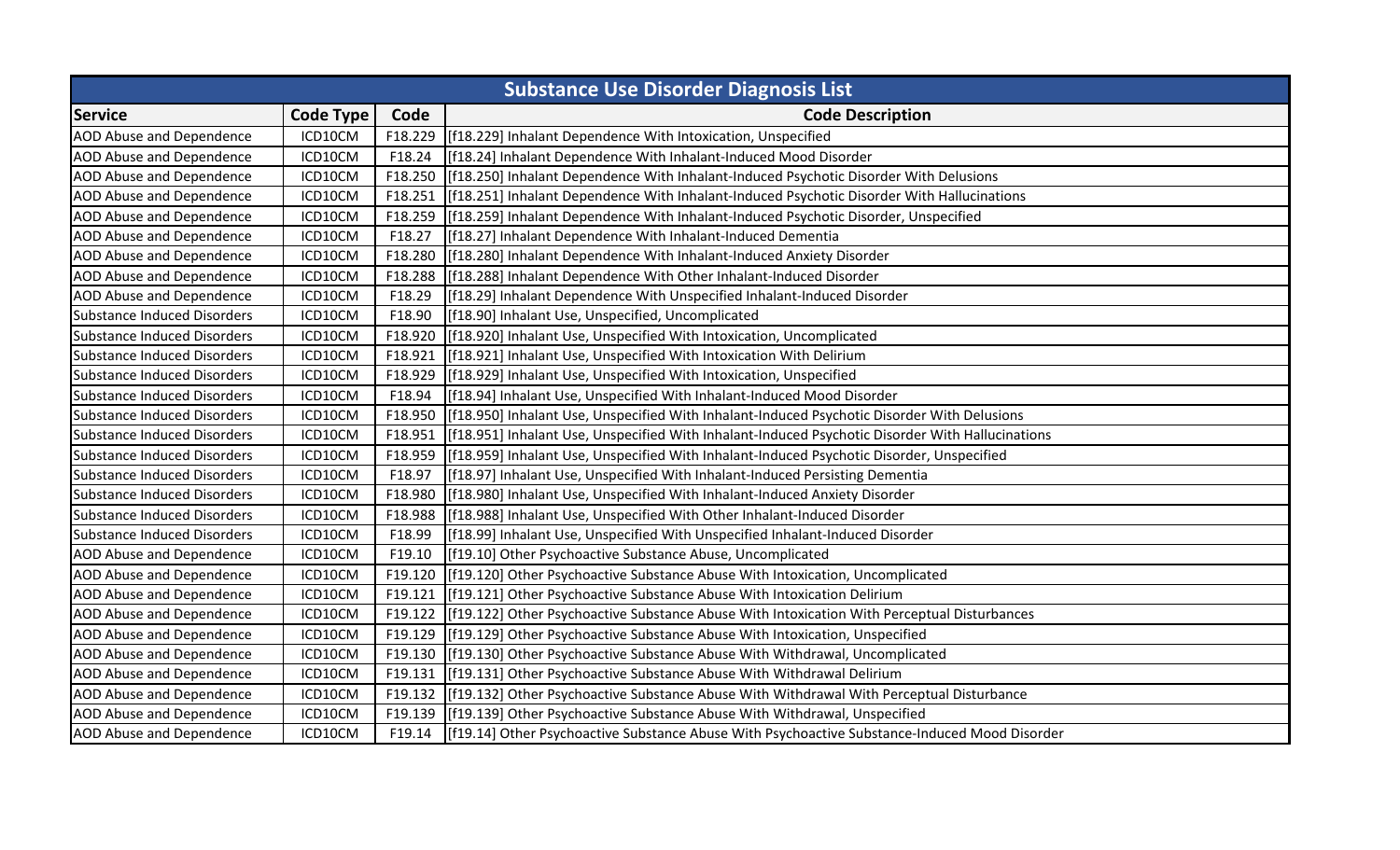| <b>Substance Use Disorder Diagnosis List</b> |                  |         |                                                                                                  |  |
|----------------------------------------------|------------------|---------|--------------------------------------------------------------------------------------------------|--|
| <b>Service</b>                               | <b>Code Type</b> | Code    | <b>Code Description</b>                                                                          |  |
| <b>AOD Abuse and Dependence</b>              | ICD10CM          | F18.229 | [f18.229] Inhalant Dependence With Intoxication, Unspecified                                     |  |
| <b>AOD Abuse and Dependence</b>              | ICD10CM          | F18.24  | [f18.24] Inhalant Dependence With Inhalant-Induced Mood Disorder                                 |  |
| <b>AOD Abuse and Dependence</b>              | ICD10CM          | F18.250 | [f18.250] Inhalant Dependence With Inhalant-Induced Psychotic Disorder With Delusions            |  |
| <b>AOD Abuse and Dependence</b>              | ICD10CM          | F18.251 | [f18.251] Inhalant Dependence With Inhalant-Induced Psychotic Disorder With Hallucinations       |  |
| <b>AOD Abuse and Dependence</b>              | ICD10CM          | F18.259 | [f18.259] Inhalant Dependence With Inhalant-Induced Psychotic Disorder, Unspecified              |  |
| <b>AOD Abuse and Dependence</b>              | ICD10CM          | F18.27  | [f18.27] Inhalant Dependence With Inhalant-Induced Dementia                                      |  |
| <b>AOD Abuse and Dependence</b>              | ICD10CM          | F18.280 | [f18.280] Inhalant Dependence With Inhalant-Induced Anxiety Disorder                             |  |
| AOD Abuse and Dependence                     | ICD10CM          | F18.288 | [f18.288] Inhalant Dependence With Other Inhalant-Induced Disorder                               |  |
| <b>AOD Abuse and Dependence</b>              | ICD10CM          | F18.29  | [f18.29] Inhalant Dependence With Unspecified Inhalant-Induced Disorder                          |  |
| Substance Induced Disorders                  | ICD10CM          | F18.90  | [f18.90] Inhalant Use, Unspecified, Uncomplicated                                                |  |
| <b>Substance Induced Disorders</b>           | ICD10CM          | F18.920 | [f18.920] Inhalant Use, Unspecified With Intoxication, Uncomplicated                             |  |
| Substance Induced Disorders                  | ICD10CM          | F18.921 | [f18.921] Inhalant Use, Unspecified With Intoxication With Delirium                              |  |
| Substance Induced Disorders                  | ICD10CM          | F18.929 | [f18.929] Inhalant Use, Unspecified With Intoxication, Unspecified                               |  |
| Substance Induced Disorders                  | ICD10CM          | F18.94  | [f18.94] Inhalant Use, Unspecified With Inhalant-Induced Mood Disorder                           |  |
| <b>Substance Induced Disorders</b>           | ICD10CM          | F18.950 | [f18.950] Inhalant Use, Unspecified With Inhalant-Induced Psychotic Disorder With Delusions      |  |
| <b>Substance Induced Disorders</b>           | ICD10CM          | F18.951 | [f18.951] Inhalant Use, Unspecified With Inhalant-Induced Psychotic Disorder With Hallucinations |  |
| Substance Induced Disorders                  | ICD10CM          | F18.959 | [f18.959] Inhalant Use, Unspecified With Inhalant-Induced Psychotic Disorder, Unspecified        |  |
| Substance Induced Disorders                  | ICD10CM          | F18.97  | [[f18.97] Inhalant Use, Unspecified With Inhalant-Induced Persisting Dementia                    |  |
| Substance Induced Disorders                  | ICD10CM          | F18.980 | [f18.980] Inhalant Use, Unspecified With Inhalant-Induced Anxiety Disorder                       |  |
| Substance Induced Disorders                  | ICD10CM          | F18.988 | [f18.988] Inhalant Use, Unspecified With Other Inhalant-Induced Disorder                         |  |
| Substance Induced Disorders                  | ICD10CM          | F18.99  | [[f18.99] Inhalant Use, Unspecified With Unspecified Inhalant-Induced Disorder                   |  |
| <b>AOD Abuse and Dependence</b>              | ICD10CM          | F19.10  | [f19.10] Other Psychoactive Substance Abuse, Uncomplicated                                       |  |
| <b>AOD Abuse and Dependence</b>              | ICD10CM          | F19.120 | [f19.120] Other Psychoactive Substance Abuse With Intoxication, Uncomplicated                    |  |
| <b>AOD Abuse and Dependence</b>              | ICD10CM          | F19.121 | [f19.121] Other Psychoactive Substance Abuse With Intoxication Delirium                          |  |
| <b>AOD Abuse and Dependence</b>              | ICD10CM          | F19.122 | [[f19.122] Other Psychoactive Substance Abuse With Intoxication With Perceptual Disturbances     |  |
| <b>AOD Abuse and Dependence</b>              | ICD10CM          | F19.129 | [f19.129] Other Psychoactive Substance Abuse With Intoxication, Unspecified                      |  |
| <b>AOD Abuse and Dependence</b>              | ICD10CM          | F19.130 | [f19.130] Other Psychoactive Substance Abuse With Withdrawal, Uncomplicated                      |  |
| <b>AOD Abuse and Dependence</b>              | ICD10CM          | F19.131 | [f19.131] Other Psychoactive Substance Abuse With Withdrawal Delirium                            |  |
| <b>AOD Abuse and Dependence</b>              | ICD10CM          |         | F19.132 [f19.132] Other Psychoactive Substance Abuse With Withdrawal With Perceptual Disturbance |  |
| AOD Abuse and Dependence                     | ICD10CM          |         | F19.139 [f19.139] Other Psychoactive Substance Abuse With Withdrawal, Unspecified                |  |
| <b>AOD Abuse and Dependence</b>              | ICD10CM          | F19.14  | [f19.14] Other Psychoactive Substance Abuse With Psychoactive Substance-Induced Mood Disorder    |  |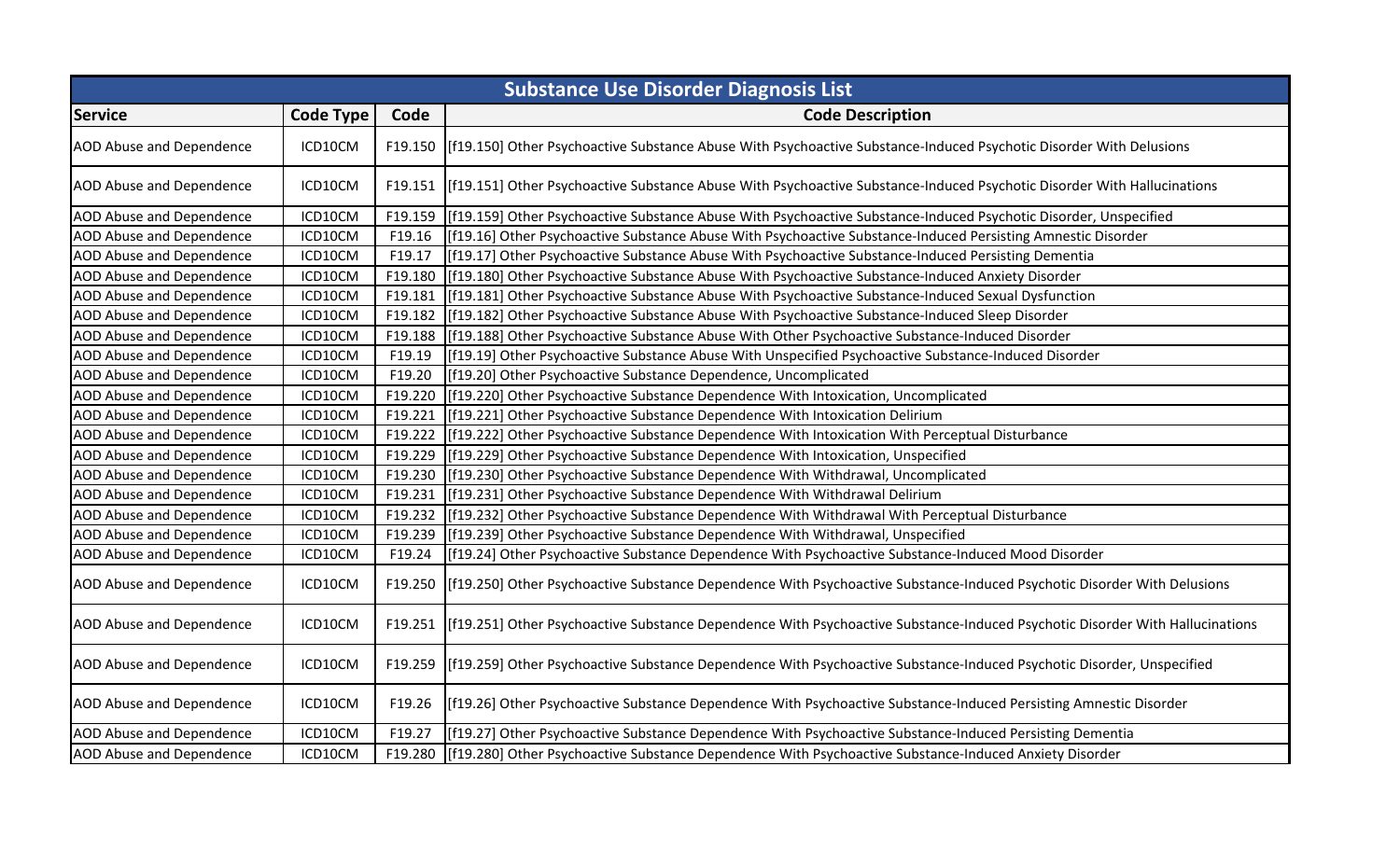| <b>Substance Use Disorder Diagnosis List</b> |                  |         |                                                                                                                                      |
|----------------------------------------------|------------------|---------|--------------------------------------------------------------------------------------------------------------------------------------|
| <b>Service</b>                               | <b>Code Type</b> | Code    | <b>Code Description</b>                                                                                                              |
| <b>AOD Abuse and Dependence</b>              | ICD10CM          |         | F19.150   [f19.150] Other Psychoactive Substance Abuse With Psychoactive Substance-Induced Psychotic Disorder With Delusions         |
| AOD Abuse and Dependence                     | ICD10CM          |         | F19.151 [f19.151] Other Psychoactive Substance Abuse With Psychoactive Substance-Induced Psychotic Disorder With Hallucinations      |
| AOD Abuse and Dependence                     | ICD10CM          | F19.159 | [f19.159] Other Psychoactive Substance Abuse With Psychoactive Substance-Induced Psychotic Disorder, Unspecified                     |
| AOD Abuse and Dependence                     | ICD10CM          | F19.16  | [f19.16] Other Psychoactive Substance Abuse With Psychoactive Substance-Induced Persisting Amnestic Disorder                         |
| <b>AOD Abuse and Dependence</b>              | ICD10CM          | F19.17  | [f19.17] Other Psychoactive Substance Abuse With Psychoactive Substance-Induced Persisting Dementia                                  |
| AOD Abuse and Dependence                     | ICD10CM          | F19.180 | [f19.180] Other Psychoactive Substance Abuse With Psychoactive Substance-Induced Anxiety Disorder                                    |
| <b>AOD Abuse and Dependence</b>              | ICD10CM          | F19.181 | [f19.181] Other Psychoactive Substance Abuse With Psychoactive Substance-Induced Sexual Dysfunction                                  |
| <b>AOD Abuse and Dependence</b>              | ICD10CM          | F19.182 | [f19.182] Other Psychoactive Substance Abuse With Psychoactive Substance-Induced Sleep Disorder                                      |
| <b>AOD Abuse and Dependence</b>              | ICD10CM          | F19.188 | [f19.188] Other Psychoactive Substance Abuse With Other Psychoactive Substance-Induced Disorder                                      |
| AOD Abuse and Dependence                     | ICD10CM          | F19.19  | [f19.19] Other Psychoactive Substance Abuse With Unspecified Psychoactive Substance-Induced Disorder                                 |
| AOD Abuse and Dependence                     | ICD10CM          | F19.20  | [f19.20] Other Psychoactive Substance Dependence, Uncomplicated                                                                      |
| AOD Abuse and Dependence                     | ICD10CM          | F19.220 | [f19.220] Other Psychoactive Substance Dependence With Intoxication, Uncomplicated                                                   |
| <b>AOD Abuse and Dependence</b>              | ICD10CM          | F19.221 | [f19.221] Other Psychoactive Substance Dependence With Intoxication Delirium                                                         |
| <b>AOD Abuse and Dependence</b>              | ICD10CM          | F19.222 | [f19.222] Other Psychoactive Substance Dependence With Intoxication With Perceptual Disturbance                                      |
| <b>AOD Abuse and Dependence</b>              | ICD10CM          | F19.229 | [f19.229] Other Psychoactive Substance Dependence With Intoxication, Unspecified                                                     |
| AOD Abuse and Dependence                     | ICD10CM          | F19.230 | [f19.230] Other Psychoactive Substance Dependence With Withdrawal, Uncomplicated                                                     |
| <b>AOD Abuse and Dependence</b>              | ICD10CM          | F19.231 | [f19.231] Other Psychoactive Substance Dependence With Withdrawal Delirium                                                           |
| AOD Abuse and Dependence                     | ICD10CM          | F19.232 | [f19.232] Other Psychoactive Substance Dependence With Withdrawal With Perceptual Disturbance                                        |
| AOD Abuse and Dependence                     | ICD10CM          | F19.239 | [f19.239] Other Psychoactive Substance Dependence With Withdrawal, Unspecified                                                       |
| <b>AOD Abuse and Dependence</b>              | ICD10CM          | F19.24  | [f19.24] Other Psychoactive Substance Dependence With Psychoactive Substance-Induced Mood Disorder                                   |
| AOD Abuse and Dependence                     | ICD10CM          |         | F19.250 [f19.250] Other Psychoactive Substance Dependence With Psychoactive Substance-Induced Psychotic Disorder With Delusions      |
| <b>AOD Abuse and Dependence</b>              | ICD10CM          |         | F19.251 [f19.251] Other Psychoactive Substance Dependence With Psychoactive Substance-Induced Psychotic Disorder With Hallucinations |
| <b>AOD Abuse and Dependence</b>              | ICD10CM          |         | F19.259 [f19.259] Other Psychoactive Substance Dependence With Psychoactive Substance-Induced Psychotic Disorder, Unspecified        |
| <b>AOD Abuse and Dependence</b>              | ICD10CM          | F19.26  | [f19.26] Other Psychoactive Substance Dependence With Psychoactive Substance-Induced Persisting Amnestic Disorder                    |
| AOD Abuse and Dependence                     | ICD10CM          | F19.27  | [f19.27] Other Psychoactive Substance Dependence With Psychoactive Substance-Induced Persisting Dementia                             |
| <b>AOD Abuse and Dependence</b>              | ICD10CM          | F19.280 | [f19.280] Other Psychoactive Substance Dependence With Psychoactive Substance-Induced Anxiety Disorder                               |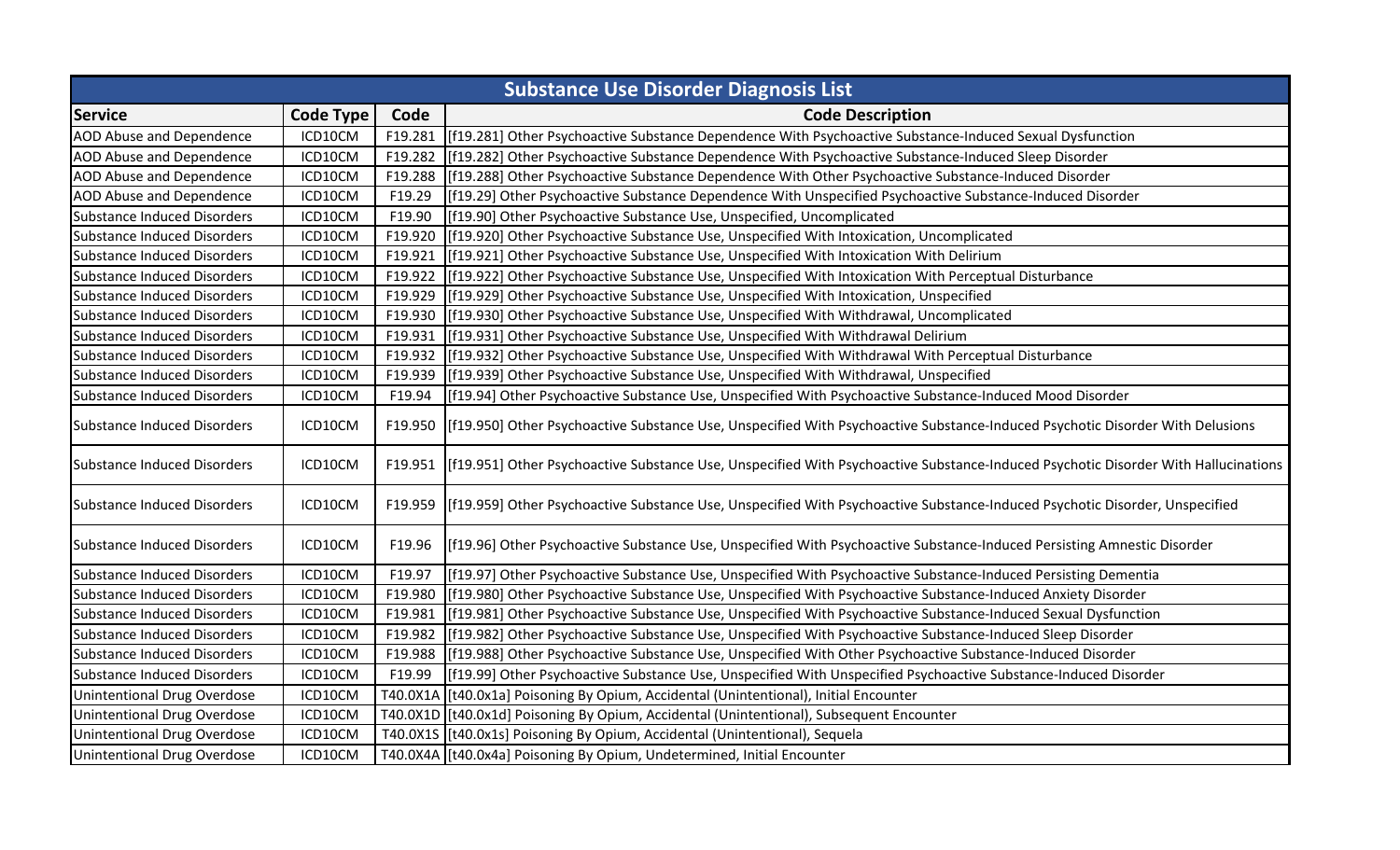| <b>Substance Use Disorder Diagnosis List</b> |                  |         |                                                                                                                                            |
|----------------------------------------------|------------------|---------|--------------------------------------------------------------------------------------------------------------------------------------------|
| <b>Service</b>                               | <b>Code Type</b> | Code    | <b>Code Description</b>                                                                                                                    |
| <b>AOD Abuse and Dependence</b>              | ICD10CM          | F19.281 | [f19.281] Other Psychoactive Substance Dependence With Psychoactive Substance-Induced Sexual Dysfunction                                   |
| <b>AOD Abuse and Dependence</b>              | ICD10CM          | F19.282 | [f19.282] Other Psychoactive Substance Dependence With Psychoactive Substance-Induced Sleep Disorder                                       |
| AOD Abuse and Dependence                     | ICD10CM          | F19.288 | [f19.288] Other Psychoactive Substance Dependence With Other Psychoactive Substance-Induced Disorder                                       |
| <b>AOD Abuse and Dependence</b>              | ICD10CM          | F19.29  | [f19.29] Other Psychoactive Substance Dependence With Unspecified Psychoactive Substance-Induced Disorder                                  |
| <b>Substance Induced Disorders</b>           | ICD10CM          | F19.90  | [f19.90] Other Psychoactive Substance Use, Unspecified, Uncomplicated                                                                      |
| <b>Substance Induced Disorders</b>           | ICD10CM          | F19.920 | [f19.920] Other Psychoactive Substance Use, Unspecified With Intoxication, Uncomplicated                                                   |
| Substance Induced Disorders                  | ICD10CM          | F19.921 | [f19.921] Other Psychoactive Substance Use, Unspecified With Intoxication With Delirium                                                    |
| Substance Induced Disorders                  | ICD10CM          | F19.922 | [f19.922] Other Psychoactive Substance Use, Unspecified With Intoxication With Perceptual Disturbance                                      |
| <b>Substance Induced Disorders</b>           | ICD10CM          | F19.929 | [f19.929] Other Psychoactive Substance Use, Unspecified With Intoxication, Unspecified                                                     |
| <b>Substance Induced Disorders</b>           | ICD10CM          | F19.930 | [f19.930] Other Psychoactive Substance Use, Unspecified With Withdrawal, Uncomplicated                                                     |
| <b>Substance Induced Disorders</b>           | ICD10CM          | F19.931 | [f19.931] Other Psychoactive Substance Use, Unspecified With Withdrawal Delirium                                                           |
| Substance Induced Disorders                  | ICD10CM          | F19.932 | [f19.932] Other Psychoactive Substance Use, Unspecified With Withdrawal With Perceptual Disturbance                                        |
| <b>Substance Induced Disorders</b>           | ICD10CM          | F19.939 | [f19.939] Other Psychoactive Substance Use, Unspecified With Withdrawal, Unspecified                                                       |
| Substance Induced Disorders                  | ICD10CM          | F19.94  | [f19.94] Other Psychoactive Substance Use, Unspecified With Psychoactive Substance-Induced Mood Disorder                                   |
| Substance Induced Disorders                  | ICD10CM          |         | F19.950 [f19.950] Other Psychoactive Substance Use, Unspecified With Psychoactive Substance-Induced Psychotic Disorder With Delusions      |
| Substance Induced Disorders                  | ICD10CM          |         | F19.951 [f19.951] Other Psychoactive Substance Use, Unspecified With Psychoactive Substance-Induced Psychotic Disorder With Hallucinations |
| Substance Induced Disorders                  | ICD10CM          |         | F19.959 [f19.959] Other Psychoactive Substance Use, Unspecified With Psychoactive Substance-Induced Psychotic Disorder, Unspecified        |
| Substance Induced Disorders                  | ICD10CM          | F19.96  | [f19.96] Other Psychoactive Substance Use, Unspecified With Psychoactive Substance-Induced Persisting Amnestic Disorder                    |
| <b>Substance Induced Disorders</b>           | ICD10CM          | F19.97  | [f19.97] Other Psychoactive Substance Use, Unspecified With Psychoactive Substance-Induced Persisting Dementia                             |
| <b>Substance Induced Disorders</b>           | ICD10CM          | F19.980 | [f19.980] Other Psychoactive Substance Use, Unspecified With Psychoactive Substance-Induced Anxiety Disorder                               |
| Substance Induced Disorders                  | ICD10CM          | F19.981 | [f19.981] Other Psychoactive Substance Use, Unspecified With Psychoactive Substance-Induced Sexual Dysfunction                             |
| Substance Induced Disorders                  | ICD10CM          | F19.982 | [f19.982] Other Psychoactive Substance Use, Unspecified With Psychoactive Substance-Induced Sleep Disorder                                 |
| Substance Induced Disorders                  | ICD10CM          | F19.988 | [f19.988] Other Psychoactive Substance Use, Unspecified With Other Psychoactive Substance-Induced Disorder                                 |
| Substance Induced Disorders                  | ICD10CM          | F19.99  | [f19.99] Other Psychoactive Substance Use, Unspecified With Unspecified Psychoactive Substance-Induced Disorder                            |
| <b>Unintentional Drug Overdose</b>           | ICD10CM          |         | T40.0X1A   [t40.0x1a] Poisoning By Opium, Accidental (Unintentional), Initial Encounter                                                    |
| <b>Unintentional Drug Overdose</b>           | ICD10CM          |         | T40.0X1D [[t40.0x1d] Poisoning By Opium, Accidental (Unintentional), Subsequent Encounter                                                  |
| <b>Unintentional Drug Overdose</b>           | ICD10CM          |         | T40.0X1S [[t40.0x1s] Poisoning By Opium, Accidental (Unintentional), Sequela                                                               |
| Unintentional Drug Overdose                  | ICD10CM          |         | T40.0X4A   [t40.0x4a] Poisoning By Opium, Undetermined, Initial Encounter                                                                  |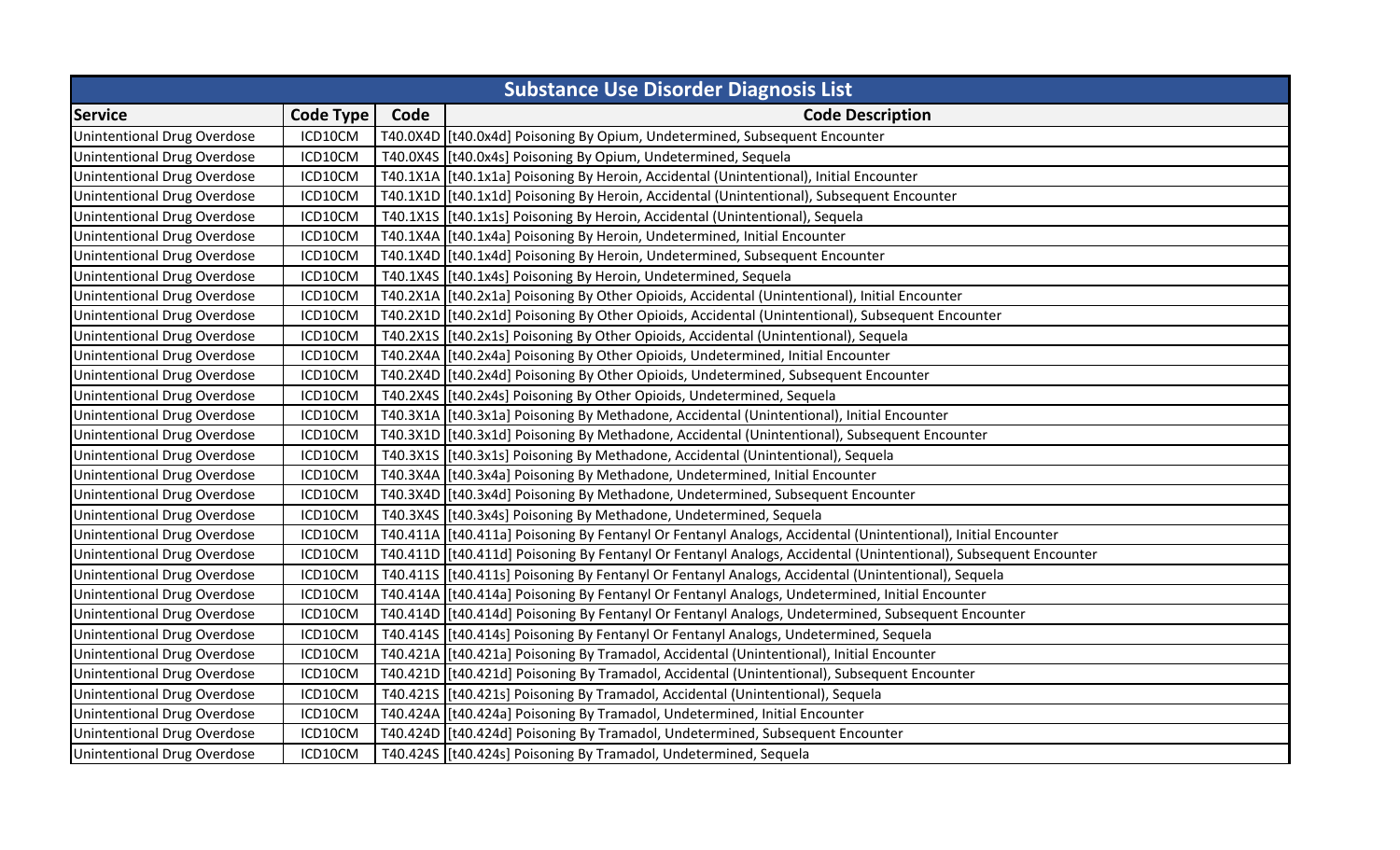| <b>Substance Use Disorder Diagnosis List</b> |                  |      |                                                                                                                  |
|----------------------------------------------|------------------|------|------------------------------------------------------------------------------------------------------------------|
| <b>Service</b>                               | <b>Code Type</b> | Code | <b>Code Description</b>                                                                                          |
| <b>Unintentional Drug Overdose</b>           | ICD10CM          |      | T40.0X4D [t40.0x4d] Poisoning By Opium, Undetermined, Subsequent Encounter                                       |
| <b>Unintentional Drug Overdose</b>           | ICD10CM          |      | T40.0X4S [[t40.0x4s] Poisoning By Opium, Undetermined, Sequela                                                   |
| <b>Unintentional Drug Overdose</b>           | ICD10CM          |      | T40.1X1A [t40.1x1a] Poisoning By Heroin, Accidental (Unintentional), Initial Encounter                           |
| Unintentional Drug Overdose                  | ICD10CM          |      | T40.1X1D   [t40.1x1d] Poisoning By Heroin, Accidental (Unintentional), Subsequent Encounter                      |
| Unintentional Drug Overdose                  | ICD10CM          |      | T40.1X1S [[t40.1x1s] Poisoning By Heroin, Accidental (Unintentional), Sequela                                    |
| <b>Unintentional Drug Overdose</b>           | ICD10CM          |      | T40.1X4A   [t40.1x4a] Poisoning By Heroin, Undetermined, Initial Encounter                                       |
| Unintentional Drug Overdose                  | ICD10CM          |      | T40.1X4D [[t40.1x4d] Poisoning By Heroin, Undetermined, Subsequent Encounter                                     |
| Unintentional Drug Overdose                  | ICD10CM          |      | T40.1X4S   [t40.1x4s] Poisoning By Heroin, Undetermined, Sequela                                                 |
| Unintentional Drug Overdose                  | ICD10CM          |      | T40.2X1A [t40.2x1a] Poisoning By Other Opioids, Accidental (Unintentional), Initial Encounter                    |
| <b>Unintentional Drug Overdose</b>           | ICD10CM          |      | T40.2X1D [t40.2x1d] Poisoning By Other Opioids, Accidental (Unintentional), Subsequent Encounter                 |
| Unintentional Drug Overdose                  | ICD10CM          |      | T40.2X1S [[t40.2x1s] Poisoning By Other Opioids, Accidental (Unintentional), Sequela                             |
| <b>Unintentional Drug Overdose</b>           | ICD10CM          |      | T40.2X4A   [t40.2x4a] Poisoning By Other Opioids, Undetermined, Initial Encounter                                |
| Unintentional Drug Overdose                  | ICD10CM          |      | T40.2X4D [[t40.2x4d] Poisoning By Other Opioids, Undetermined, Subsequent Encounter                              |
| <b>Unintentional Drug Overdose</b>           | ICD10CM          |      | T40.2X4S [[t40.2x4s] Poisoning By Other Opioids, Undetermined, Sequela                                           |
| <b>Unintentional Drug Overdose</b>           | ICD10CM          |      | T40.3X1A [[t40.3x1a] Poisoning By Methadone, Accidental (Unintentional), Initial Encounter                       |
| <b>Unintentional Drug Overdose</b>           | ICD10CM          |      | T40.3X1D [t40.3x1d] Poisoning By Methadone, Accidental (Unintentional), Subsequent Encounter                     |
| Unintentional Drug Overdose                  | ICD10CM          |      | T40.3X15 [t40.3x1s] Poisoning By Methadone, Accidental (Unintentional), Sequela                                  |
| <b>Unintentional Drug Overdose</b>           | ICD10CM          |      | T40.3X4A [[t40.3x4a] Poisoning By Methadone, Undetermined, Initial Encounter                                     |
| Unintentional Drug Overdose                  | ICD10CM          |      | T40.3X4D [[t40.3x4d] Poisoning By Methadone, Undetermined, Subsequent Encounter                                  |
| <b>Unintentional Drug Overdose</b>           | ICD10CM          |      | T40.3X4S [[t40.3x4s] Poisoning By Methadone, Undetermined, Sequela                                               |
| <b>Unintentional Drug Overdose</b>           | ICD10CM          |      | T40.411A  [t40.411a] Poisoning By Fentanyl Or Fentanyl Analogs, Accidental (Unintentional), Initial Encounter    |
| <b>Unintentional Drug Overdose</b>           | ICD10CM          |      | T40.411D [[t40.411d] Poisoning By Fentanyl Or Fentanyl Analogs, Accidental (Unintentional), Subsequent Encounter |
| <b>Unintentional Drug Overdose</b>           | ICD10CM          |      | T40.4115 [[t40.411s] Poisoning By Fentanyl Or Fentanyl Analogs, Accidental (Unintentional), Sequela              |
| <b>Unintentional Drug Overdose</b>           | ICD10CM          |      | T40.414A [[t40.414a] Poisoning By Fentanyl Or Fentanyl Analogs, Undetermined, Initial Encounter                  |
| <b>Unintentional Drug Overdose</b>           | ICD10CM          |      | T40.414D  [t40.414d] Poisoning By Fentanyl Or Fentanyl Analogs, Undetermined, Subsequent Encounter               |
| Unintentional Drug Overdose                  | ICD10CM          |      | T40.4145 [t40.414s] Poisoning By Fentanyl Or Fentanyl Analogs, Undetermined, Sequela                             |
| <b>Unintentional Drug Overdose</b>           | ICD10CM          |      | T40.421A [[t40.421a] Poisoning By Tramadol, Accidental (Unintentional), Initial Encounter                        |
| <b>Unintentional Drug Overdose</b>           | ICD10CM          |      | T40.4210 [t40.421d] Poisoning By Tramadol, Accidental (Unintentional), Subsequent Encounter                      |
| <b>Unintentional Drug Overdose</b>           | ICD10CM          |      | T40.4215 [[t40.421s] Poisoning By Tramadol, Accidental (Unintentional), Sequela                                  |
| <b>Unintentional Drug Overdose</b>           | ICD10CM          |      | T40.424A [[t40.424a] Poisoning By Tramadol, Undetermined, Initial Encounter                                      |
| <b>Unintentional Drug Overdose</b>           | ICD10CM          |      | T40.424D [t40.424d] Poisoning By Tramadol, Undetermined, Subsequent Encounter                                    |
| <b>Unintentional Drug Overdose</b>           | ICD10CM          |      | T40.424S [[t40.424s] Poisoning By Tramadol, Undetermined, Sequela                                                |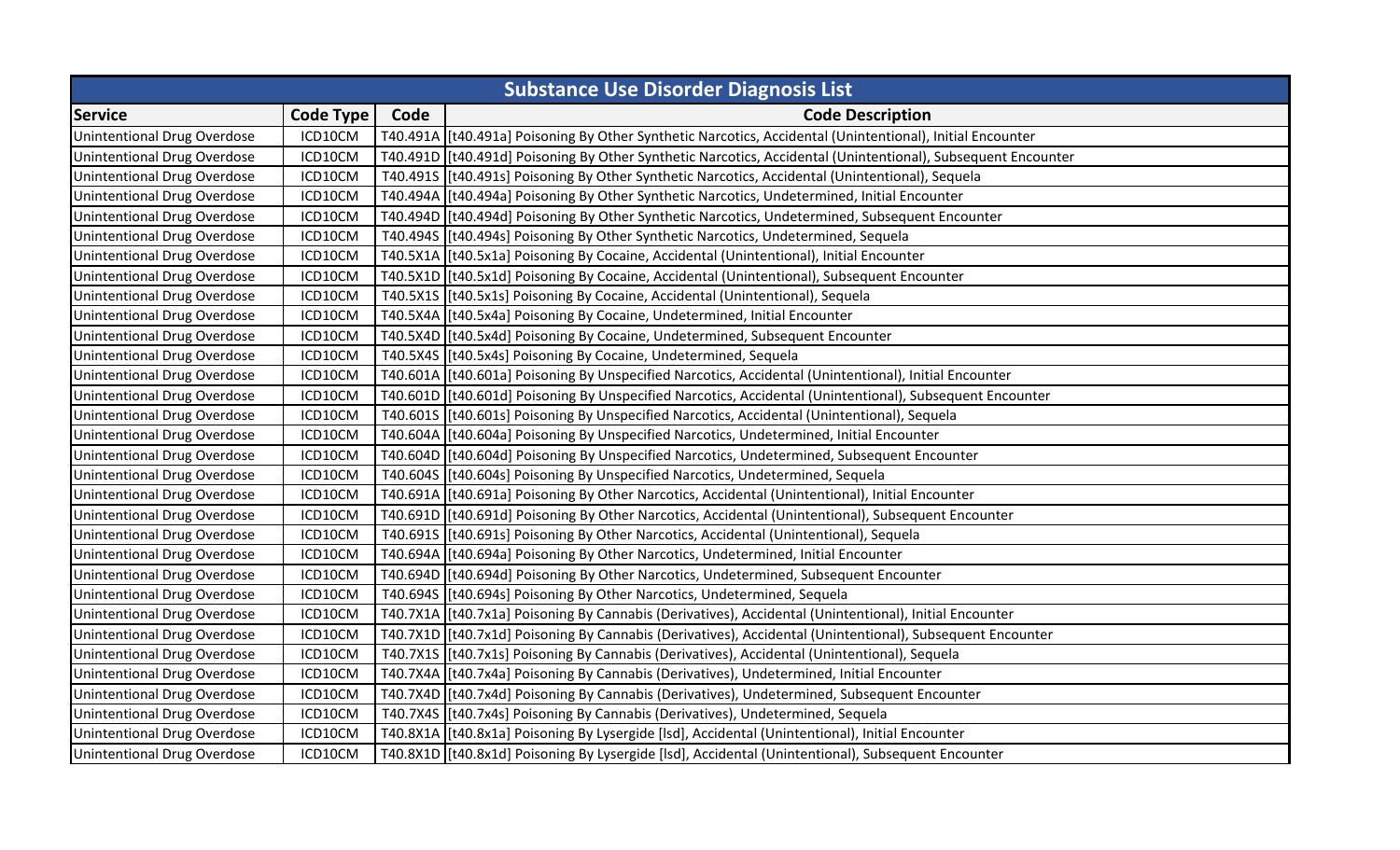| <b>Substance Use Disorder Diagnosis List</b> |                  |      |                                                                                                              |
|----------------------------------------------|------------------|------|--------------------------------------------------------------------------------------------------------------|
| <b>Service</b>                               | <b>Code Type</b> | Code | <b>Code Description</b>                                                                                      |
| <b>Unintentional Drug Overdose</b>           | ICD10CM          |      | T40.491A [t40.491a] Poisoning By Other Synthetic Narcotics, Accidental (Unintentional), Initial Encounter    |
| <b>Unintentional Drug Overdose</b>           | ICD10CM          |      | T40.4910 [t40.491d] Poisoning By Other Synthetic Narcotics, Accidental (Unintentional), Subsequent Encounter |
| <b>Unintentional Drug Overdose</b>           | ICD10CM          |      | T40.4915 [t40.491s] Poisoning By Other Synthetic Narcotics, Accidental (Unintentional), Sequela              |
| <b>Unintentional Drug Overdose</b>           | ICD10CM          |      | T40.494A [t40.494a] Poisoning By Other Synthetic Narcotics, Undetermined, Initial Encounter                  |
| Unintentional Drug Overdose                  | ICD10CM          |      | T40.494D [t40.494d] Poisoning By Other Synthetic Narcotics, Undetermined, Subsequent Encounter               |
| <b>Unintentional Drug Overdose</b>           | ICD10CM          |      | T40.4945 [t40.494s] Poisoning By Other Synthetic Narcotics, Undetermined, Sequela                            |
| Unintentional Drug Overdose                  | ICD10CM          |      | T40.5X1A [[t40.5x1a] Poisoning By Cocaine, Accidental (Unintentional), Initial Encounter                     |
| Unintentional Drug Overdose                  | ICD10CM          |      | T40.5X1D [[t40.5x1d] Poisoning By Cocaine, Accidental (Unintentional), Subsequent Encounter                  |
| Unintentional Drug Overdose                  | ICD10CM          |      | T40.5X1S [[t40.5x1s] Poisoning By Cocaine, Accidental (Unintentional), Sequela                               |
| <b>Unintentional Drug Overdose</b>           | ICD10CM          |      | T40.5X4A   [t40.5x4a] Poisoning By Cocaine, Undetermined, Initial Encounter                                  |
| Unintentional Drug Overdose                  | ICD10CM          |      | T40.5X4D [[t40.5x4d] Poisoning By Cocaine, Undetermined, Subsequent Encounter                                |
| <b>Unintentional Drug Overdose</b>           | ICD10CM          |      | T40.5X4S [[t40.5x4s] Poisoning By Cocaine, Undetermined, Sequela                                             |
| Unintentional Drug Overdose                  | ICD10CM          |      | T40.601A [[t40.601a] Poisoning By Unspecified Narcotics, Accidental (Unintentional), Initial Encounter       |
| <b>Unintentional Drug Overdose</b>           | ICD10CM          |      | T40.601D [[t40.601d] Poisoning By Unspecified Narcotics, Accidental (Unintentional), Subsequent Encounter    |
| Unintentional Drug Overdose                  | ICD10CM          |      | T40.6015 [[t40.601s] Poisoning By Unspecified Narcotics, Accidental (Unintentional), Sequela                 |
| <b>Unintentional Drug Overdose</b>           | ICD10CM          |      | T40.604A [[t40.604a] Poisoning By Unspecified Narcotics, Undetermined, Initial Encounter                     |
| Unintentional Drug Overdose                  | ICD10CM          |      | T40.604D [[t40.604d] Poisoning By Unspecified Narcotics, Undetermined, Subsequent Encounter                  |
| <b>Unintentional Drug Overdose</b>           | ICD10CM          |      | T40.604S [[t40.604s] Poisoning By Unspecified Narcotics, Undetermined, Sequela                               |
| Unintentional Drug Overdose                  | ICD10CM          |      | T40.691A [t40.691a] Poisoning By Other Narcotics, Accidental (Unintentional), Initial Encounter              |
| <b>Unintentional Drug Overdose</b>           | ICD10CM          |      | T40.691D [[t40.691d] Poisoning By Other Narcotics, Accidental (Unintentional), Subsequent Encounter          |
| <b>Unintentional Drug Overdose</b>           | ICD10CM          |      | T40.6915 [t40.691s] Poisoning By Other Narcotics, Accidental (Unintentional), Sequela                        |
| <b>Unintentional Drug Overdose</b>           | ICD10CM          |      | T40.694A [t40.694a] Poisoning By Other Narcotics, Undetermined, Initial Encounter                            |
| <b>Unintentional Drug Overdose</b>           | ICD10CM          |      | T40.694D [[t40.694d] Poisoning By Other Narcotics, Undetermined, Subsequent Encounter                        |
| <b>Unintentional Drug Overdose</b>           | ICD10CM          |      | T40.694S [[t40.694s] Poisoning By Other Narcotics, Undetermined, Sequela                                     |
| <b>Unintentional Drug Overdose</b>           | ICD10CM          |      | T40.7X1A   [t40.7x1a] Poisoning By Cannabis (Derivatives), Accidental (Unintentional), Initial Encounter     |
| <b>Unintentional Drug Overdose</b>           | ICD10CM          |      | T40.7X1D [[t40.7x1d] Poisoning By Cannabis (Derivatives), Accidental (Unintentional), Subsequent Encounter   |
| <b>Unintentional Drug Overdose</b>           | ICD10CM          |      | T40.7X1S [[t40.7x1s] Poisoning By Cannabis (Derivatives), Accidental (Unintentional), Sequela                |
| <b>Unintentional Drug Overdose</b>           | ICD10CM          |      | T40.7X4A [t40.7x4a] Poisoning By Cannabis (Derivatives), Undetermined, Initial Encounter                     |
| Unintentional Drug Overdose                  | ICD10CM          |      | T40.7X4D [[t40.7x4d] Poisoning By Cannabis (Derivatives), Undetermined, Subsequent Encounter                 |
| <b>Unintentional Drug Overdose</b>           | ICD10CM          |      | T40.7X4S [[t40.7x4s] Poisoning By Cannabis (Derivatives), Undetermined, Sequela                              |
| <b>Unintentional Drug Overdose</b>           | ICD10CM          |      | T40.8X1A [t40.8x1a] Poisoning By Lysergide [lsd], Accidental (Unintentional), Initial Encounter              |
| <b>Unintentional Drug Overdose</b>           | ICD10CM          |      | T40.8X1D [[t40.8x1d] Poisoning By Lysergide [Isd], Accidental (Unintentional), Subsequent Encounter          |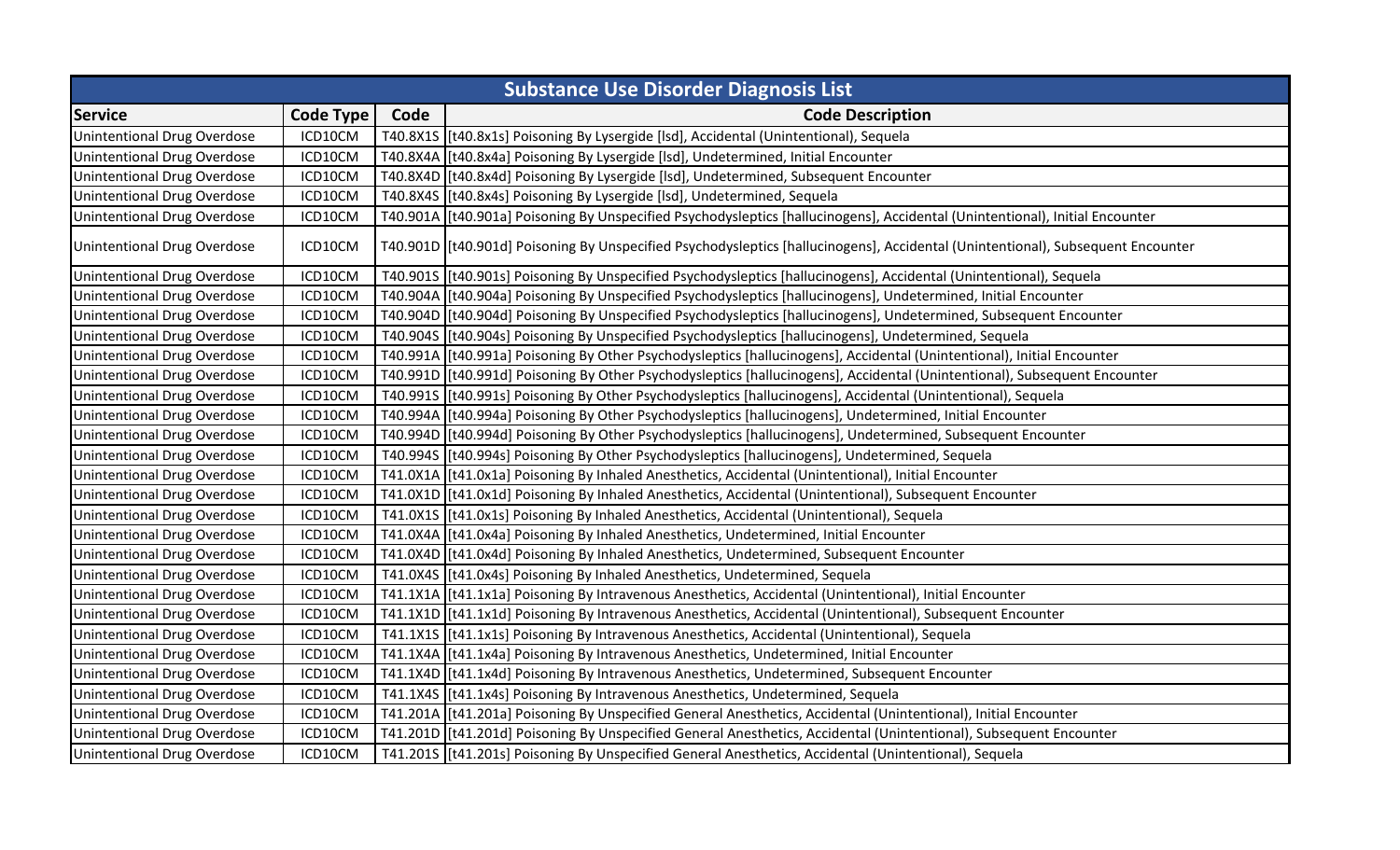| <b>Substance Use Disorder Diagnosis List</b> |                  |      |                                                                                                                                  |
|----------------------------------------------|------------------|------|----------------------------------------------------------------------------------------------------------------------------------|
| <b>Service</b>                               | <b>Code Type</b> | Code | <b>Code Description</b>                                                                                                          |
| Unintentional Drug Overdose                  | ICD10CM          |      | T40.8X1S   [t40.8x1s] Poisoning By Lysergide [Isd], Accidental (Unintentional), Sequela                                          |
| Unintentional Drug Overdose                  | ICD10CM          |      | T40.8X4A   [t40.8x4a] Poisoning By Lysergide [Isd], Undetermined, Initial Encounter                                              |
| Unintentional Drug Overdose                  | ICD10CM          |      | T40.8X4D [[t40.8x4d] Poisoning By Lysergide [Isd], Undetermined, Subsequent Encounter                                            |
| <b>Unintentional Drug Overdose</b>           | ICD10CM          |      | T40.8X4S [[t40.8x4s] Poisoning By Lysergide [Isd], Undetermined, Sequela                                                         |
| Unintentional Drug Overdose                  | ICD10CM          |      | T40.901A [[t40.901a] Poisoning By Unspecified Psychodysleptics [hallucinogens], Accidental (Unintentional), Initial Encounter    |
| Unintentional Drug Overdose                  | ICD10CM          |      | T40.901D [[t40.901d] Poisoning By Unspecified Psychodysleptics [hallucinogens], Accidental (Unintentional), Subsequent Encounter |
| <b>Unintentional Drug Overdose</b>           | ICD10CM          |      | T40.901S  [t40.901s] Poisoning By Unspecified Psychodysleptics [hallucinogens], Accidental (Unintentional), Sequela              |
| <b>Unintentional Drug Overdose</b>           | ICD10CM          |      | T40.904A  [t40.904a] Poisoning By Unspecified Psychodysleptics [hallucinogens], Undetermined, Initial Encounter                  |
| Unintentional Drug Overdose                  | ICD10CM          |      | T40.904D  [t40.904d] Poisoning By Unspecified Psychodysleptics [hallucinogens], Undetermined, Subsequent Encounter               |
| <b>Unintentional Drug Overdose</b>           | ICD10CM          |      | T40.9045 [t40.904s] Poisoning By Unspecified Psychodysleptics [hallucinogens], Undetermined, Sequela                             |
| <b>Unintentional Drug Overdose</b>           | ICD10CM          |      | T40.991A [[t40.991a] Poisoning By Other Psychodysleptics [hallucinogens], Accidental (Unintentional), Initial Encounter          |
| Unintentional Drug Overdose                  | ICD10CM          |      | T40.991D [[t40.991d] Poisoning By Other Psychodysleptics [hallucinogens], Accidental (Unintentional), Subsequent Encounter       |
| Unintentional Drug Overdose                  | ICD10CM          |      | T40.9915 [[t40.991s] Poisoning By Other Psychodysleptics [hallucinogens], Accidental (Unintentional), Sequela                    |
| Unintentional Drug Overdose                  | ICD10CM          |      | T40.994A  [t40.994a] Poisoning By Other Psychodysleptics [hallucinogens], Undetermined, Initial Encounter                        |
| Unintentional Drug Overdose                  | ICD10CM          |      | T40.994D [[t40.994d] Poisoning By Other Psychodysleptics [hallucinogens], Undetermined, Subsequent Encounter                     |
| Unintentional Drug Overdose                  | ICD10CM          |      | T40.9945 [t40.994s] Poisoning By Other Psychodysleptics [hallucinogens], Undetermined, Sequela                                   |
| <b>Unintentional Drug Overdose</b>           | ICD10CM          |      | T41.0X1A [t41.0x1a] Poisoning By Inhaled Anesthetics, Accidental (Unintentional), Initial Encounter                              |
| Unintentional Drug Overdose                  | ICD10CM          |      | T41.0X1D [[t41.0x1d] Poisoning By Inhaled Anesthetics, Accidental (Unintentional), Subsequent Encounter                          |
| Unintentional Drug Overdose                  | ICD10CM          |      | T41.0X1S [t41.0x1s] Poisoning By Inhaled Anesthetics, Accidental (Unintentional), Sequela                                        |
| Unintentional Drug Overdose                  | ICD10CM          |      | T41.0X4A  [t41.0x4a] Poisoning By Inhaled Anesthetics, Undetermined, Initial Encounter                                           |
| <b>Unintentional Drug Overdose</b>           | ICD10CM          |      | T41.0X4D [[t41.0x4d] Poisoning By Inhaled Anesthetics, Undetermined, Subsequent Encounter                                        |
| <b>Unintentional Drug Overdose</b>           | ICD10CM          |      | T41.0X4S [[t41.0x4s] Poisoning By Inhaled Anesthetics, Undetermined, Sequela                                                     |
| Unintentional Drug Overdose                  | ICD10CM          |      | T41.1X1A   [t41.1x1a] Poisoning By Intravenous Anesthetics, Accidental (Unintentional), Initial Encounter                        |
| Unintentional Drug Overdose                  | ICD10CM          |      | T41.1X1D [[t41.1x1d] Poisoning By Intravenous Anesthetics, Accidental (Unintentional), Subsequent Encounter                      |
| Unintentional Drug Overdose                  | ICD10CM          |      | T41.1X1S [[t41.1x1s] Poisoning By Intravenous Anesthetics, Accidental (Unintentional), Sequela                                   |
| Unintentional Drug Overdose                  | ICD10CM          |      | T41.1X4A   [t41.1x4a] Poisoning By Intravenous Anesthetics, Undetermined, Initial Encounter                                      |
| Unintentional Drug Overdose                  | ICD10CM          |      | T41.1X4D [[t41.1x4d] Poisoning By Intravenous Anesthetics, Undetermined, Subsequent Encounter                                    |
| Unintentional Drug Overdose                  | ICD10CM          |      | T41.1X4S   [t41.1x4s] Poisoning By Intravenous Anesthetics, Undetermined, Sequela                                                |
| <b>Unintentional Drug Overdose</b>           | ICD10CM          |      | T41.201A  [t41.201a] Poisoning By Unspecified General Anesthetics, Accidental (Unintentional), Initial Encounter                 |
| Unintentional Drug Overdose                  | ICD10CM          |      | T41.2010 [[t41.201d] Poisoning By Unspecified General Anesthetics, Accidental (Unintentional), Subsequent Encounter              |
| <b>Unintentional Drug Overdose</b>           | ICD10CM          |      | T41.2015 [[t41.201s] Poisoning By Unspecified General Anesthetics, Accidental (Unintentional), Sequela                           |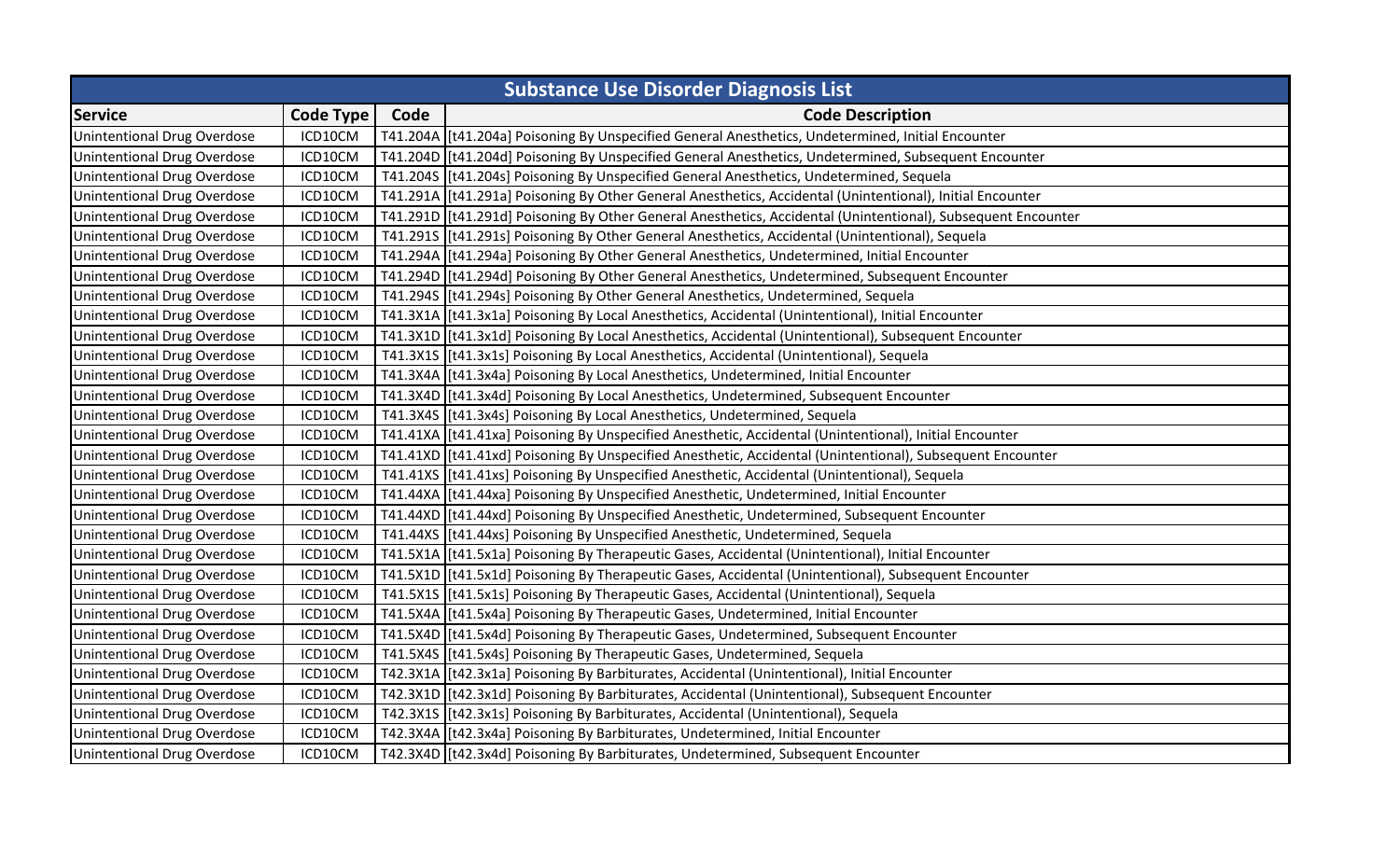| <b>Substance Use Disorder Diagnosis List</b> |                  |      |                                                                                                              |
|----------------------------------------------|------------------|------|--------------------------------------------------------------------------------------------------------------|
| <b>Service</b>                               | <b>Code Type</b> | Code | <b>Code Description</b>                                                                                      |
| <b>Unintentional Drug Overdose</b>           | ICD10CM          |      | T41.204A [t41.204a] Poisoning By Unspecified General Anesthetics, Undetermined, Initial Encounter            |
| <b>Unintentional Drug Overdose</b>           | ICD10CM          |      | T41.2040 [t41.204d] Poisoning By Unspecified General Anesthetics, Undetermined, Subsequent Encounter         |
| <b>Unintentional Drug Overdose</b>           | ICD10CM          |      | T41.2045 [t41.204s] Poisoning By Unspecified General Anesthetics, Undetermined, Sequela                      |
| <b>Unintentional Drug Overdose</b>           | ICD10CM          |      | T41.291A   [t41.291a] Poisoning By Other General Anesthetics, Accidental (Unintentional), Initial Encounter  |
| Unintentional Drug Overdose                  | ICD10CM          |      | T41.2910 [t41.291d] Poisoning By Other General Anesthetics, Accidental (Unintentional), Subsequent Encounter |
| <b>Unintentional Drug Overdose</b>           | ICD10CM          |      | T41.2915 [[t41.291s] Poisoning By Other General Anesthetics, Accidental (Unintentional), Sequela             |
| Unintentional Drug Overdose                  | ICD10CM          |      | T41.294A [[t41.294a] Poisoning By Other General Anesthetics, Undetermined, Initial Encounter                 |
| Unintentional Drug Overdose                  | ICD10CM          |      | T41.294D [[t41.294d] Poisoning By Other General Anesthetics, Undetermined, Subsequent Encounter              |
| Unintentional Drug Overdose                  | ICD10CM          |      | T41.2945 [[t41.294s] Poisoning By Other General Anesthetics, Undetermined, Sequela                           |
| <b>Unintentional Drug Overdose</b>           | ICD10CM          |      | T41.3X1A [[t41.3x1a] Poisoning By Local Anesthetics, Accidental (Unintentional), Initial Encounter           |
| Unintentional Drug Overdose                  | ICD10CM          |      | T41.3X1D [[t41.3x1d] Poisoning By Local Anesthetics, Accidental (Unintentional), Subsequent Encounter        |
| <b>Unintentional Drug Overdose</b>           | ICD10CM          |      | T41.3X1S [[t41.3x1s] Poisoning By Local Anesthetics, Accidental (Unintentional), Sequela                     |
| Unintentional Drug Overdose                  | ICD10CM          |      | T41.3X4A [[t41.3x4a] Poisoning By Local Anesthetics, Undetermined, Initial Encounter                         |
| <b>Unintentional Drug Overdose</b>           | ICD10CM          |      | T41.3X4D [[t41.3x4d] Poisoning By Local Anesthetics, Undetermined, Subsequent Encounter                      |
| Unintentional Drug Overdose                  | ICD10CM          |      | T41.3X4S [[t41.3x4s] Poisoning By Local Anesthetics, Undetermined, Sequela                                   |
| <b>Unintentional Drug Overdose</b>           | ICD10CM          |      | T41.41XA [[t41.41xa] Poisoning By Unspecified Anesthetic, Accidental (Unintentional), Initial Encounter      |
| Unintentional Drug Overdose                  | ICD10CM          |      | T41.41XD  [t41.41xd] Poisoning By Unspecified Anesthetic, Accidental (Unintentional), Subsequent Encounter   |
| <b>Unintentional Drug Overdose</b>           | ICD10CM          |      | T41.41XS [[t41.41xs] Poisoning By Unspecified Anesthetic, Accidental (Unintentional), Sequela                |
| Unintentional Drug Overdose                  | ICD10CM          |      | T41.44XA [[t41.44xa] Poisoning By Unspecified Anesthetic, Undetermined, Initial Encounter                    |
| Unintentional Drug Overdose                  | ICD10CM          |      | T41.44XD [[t41.44xd] Poisoning By Unspecified Anesthetic, Undetermined, Subsequent Encounter                 |
| <b>Unintentional Drug Overdose</b>           | ICD10CM          |      | T41.44XS [[t41.44xs] Poisoning By Unspecified Anesthetic, Undetermined, Sequela                              |
| <b>Unintentional Drug Overdose</b>           | ICD10CM          |      | T41.5X1A [t41.5x1a] Poisoning By Therapeutic Gases, Accidental (Unintentional), Initial Encounter            |
| <b>Unintentional Drug Overdose</b>           | ICD10CM          |      | T41.5X1D [[t41.5x1d] Poisoning By Therapeutic Gases, Accidental (Unintentional), Subsequent Encounter        |
| <b>Unintentional Drug Overdose</b>           | ICD10CM          |      | T41.5X1S [[t41.5x1s] Poisoning By Therapeutic Gases, Accidental (Unintentional), Sequela                     |
| <b>Unintentional Drug Overdose</b>           | ICD10CM          |      | T41.5X4A [[t41.5x4a] Poisoning By Therapeutic Gases, Undetermined, Initial Encounter                         |
| Unintentional Drug Overdose                  | ICD10CM          |      | T41.5X4D [[t41.5x4d] Poisoning By Therapeutic Gases, Undetermined, Subsequent Encounter                      |
| <b>Unintentional Drug Overdose</b>           | ICD10CM          |      | T41.5X4S [[t41.5x4s] Poisoning By Therapeutic Gases, Undetermined, Sequela                                   |
| Unintentional Drug Overdose                  | ICD10CM          |      | T42.3X1A [t42.3x1a] Poisoning By Barbiturates, Accidental (Unintentional), Initial Encounter                 |
| Unintentional Drug Overdose                  | ICD10CM          |      | T42.3X1D [[t42.3x1d] Poisoning By Barbiturates, Accidental (Unintentional), Subsequent Encounter             |
| <b>Unintentional Drug Overdose</b>           | ICD10CM          |      | T42.3X1S [[t42.3x1s] Poisoning By Barbiturates, Accidental (Unintentional), Sequela                          |
| <b>Unintentional Drug Overdose</b>           | ICD10CM          |      | T42.3X4A   [t42.3x4a] Poisoning By Barbiturates, Undetermined, Initial Encounter                             |
| <b>Unintentional Drug Overdose</b>           | ICD10CM          |      | T42.3X4D [t42.3x4d] Poisoning By Barbiturates, Undetermined, Subsequent Encounter                            |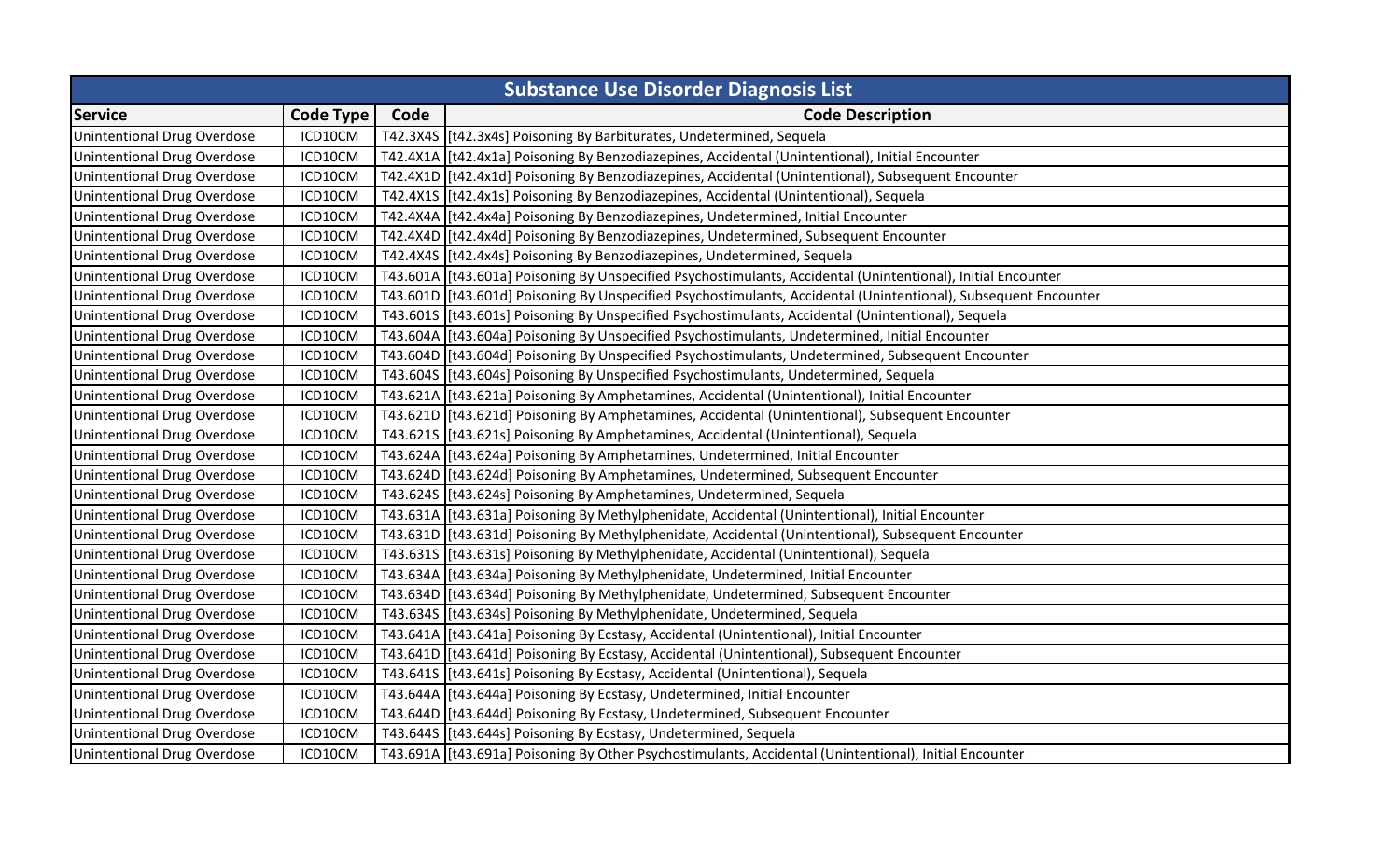| <b>Substance Use Disorder Diagnosis List</b> |                  |      |                                                                                                                  |
|----------------------------------------------|------------------|------|------------------------------------------------------------------------------------------------------------------|
| <b>Service</b>                               | <b>Code Type</b> | Code | <b>Code Description</b>                                                                                          |
| Unintentional Drug Overdose                  | ICD10CM          |      | T42.3X4S [[t42.3x4s] Poisoning By Barbiturates, Undetermined, Sequela                                            |
| Unintentional Drug Overdose                  | ICD10CM          |      | T42.4X1A [[t42.4x1a] Poisoning By Benzodiazepines, Accidental (Unintentional), Initial Encounter                 |
| Unintentional Drug Overdose                  | ICD10CM          |      | T42.4X1D [[t42.4x1d] Poisoning By Benzodiazepines, Accidental (Unintentional), Subsequent Encounter              |
| Unintentional Drug Overdose                  | ICD10CM          |      | T42.4X1S [t42.4x1s] Poisoning By Benzodiazepines, Accidental (Unintentional), Sequela                            |
| Unintentional Drug Overdose                  | ICD10CM          |      | T42.4X4A [t42.4x4a] Poisoning By Benzodiazepines, Undetermined, Initial Encounter                                |
| Unintentional Drug Overdose                  | ICD10CM          |      | T42.4X4D [[t42.4x4d] Poisoning By Benzodiazepines, Undetermined, Subsequent Encounter                            |
| Unintentional Drug Overdose                  | ICD10CM          |      | T42.4X4S   [t42.4x4s] Poisoning By Benzodiazepines, Undetermined, Sequela                                        |
| Unintentional Drug Overdose                  | ICD10CM          |      | T43.601A [[t43.601a] Poisoning By Unspecified Psychostimulants, Accidental (Unintentional), Initial Encounter    |
| Unintentional Drug Overdose                  | ICD10CM          |      | T43.601D [[t43.601d] Poisoning By Unspecified Psychostimulants, Accidental (Unintentional), Subsequent Encounter |
| Unintentional Drug Overdose                  | ICD10CM          |      | T43.601S [[t43.601s] Poisoning By Unspecified Psychostimulants, Accidental (Unintentional), Sequela              |
| Unintentional Drug Overdose                  | ICD10CM          |      | T43.604A [[t43.604a] Poisoning By Unspecified Psychostimulants, Undetermined, Initial Encounter                  |
| Unintentional Drug Overdose                  | ICD10CM          |      | T43.604D [[t43.604d] Poisoning By Unspecified Psychostimulants, Undetermined, Subsequent Encounter               |
| Unintentional Drug Overdose                  | ICD10CM          |      | T43.604S [[t43.604s] Poisoning By Unspecified Psychostimulants, Undetermined, Sequela                            |
| Unintentional Drug Overdose                  | ICD10CM          |      | T43.621A [[t43.621a] Poisoning By Amphetamines, Accidental (Unintentional), Initial Encounter                    |
| <b>Unintentional Drug Overdose</b>           | ICD10CM          |      | T43.621D [[t43.621d] Poisoning By Amphetamines, Accidental (Unintentional), Subsequent Encounter                 |
| Unintentional Drug Overdose                  | ICD10CM          |      | T43.621S [[t43.621s] Poisoning By Amphetamines, Accidental (Unintentional), Sequela                              |
| Unintentional Drug Overdose                  | ICD10CM          |      | T43.624A [[t43.624a] Poisoning By Amphetamines, Undetermined, Initial Encounter                                  |
| Unintentional Drug Overdose                  | ICD10CM          |      | T43.624D [[t43.624d] Poisoning By Amphetamines, Undetermined, Subsequent Encounter                               |
| Unintentional Drug Overdose                  | ICD10CM          |      | T43.624S [[t43.624s] Poisoning By Amphetamines, Undetermined, Sequela                                            |
| Unintentional Drug Overdose                  | ICD10CM          |      | T43.631A [[t43.631a] Poisoning By Methylphenidate, Accidental (Unintentional), Initial Encounter                 |
| Unintentional Drug Overdose                  | ICD10CM          |      | T43.631D [[t43.631d] Poisoning By Methylphenidate, Accidental (Unintentional), Subsequent Encounter              |
| Unintentional Drug Overdose                  | ICD10CM          |      | T43.631S [[t43.631s] Poisoning By Methylphenidate, Accidental (Unintentional), Sequela                           |
| Unintentional Drug Overdose                  | ICD10CM          |      | T43.634A [[t43.634a] Poisoning By Methylphenidate, Undetermined, Initial Encounter                               |
| Unintentional Drug Overdose                  | ICD10CM          |      | T43.634D [[t43.634d] Poisoning By Methylphenidate, Undetermined, Subsequent Encounter                            |
| Unintentional Drug Overdose                  | ICD10CM          |      | T43.6345 [[t43.634s] Poisoning By Methylphenidate, Undetermined, Sequela                                         |
| Unintentional Drug Overdose                  | ICD10CM          |      | T43.641A [[t43.641a] Poisoning By Ecstasy, Accidental (Unintentional), Initial Encounter                         |
| Unintentional Drug Overdose                  | ICD10CM          |      | T43.641D [[t43.641d] Poisoning By Ecstasy, Accidental (Unintentional), Subsequent Encounter                      |
| Unintentional Drug Overdose                  | ICD10CM          |      | T43.6415 [[t43.641s] Poisoning By Ecstasy, Accidental (Unintentional), Sequela                                   |
| Unintentional Drug Overdose                  | ICD10CM          |      | T43.644A [[t43.644a] Poisoning By Ecstasy, Undetermined, Initial Encounter                                       |
| Unintentional Drug Overdose                  | ICD10CM          |      | T43.644D [[t43.644d] Poisoning By Ecstasy, Undetermined, Subsequent Encounter                                    |
| Unintentional Drug Overdose                  | ICD10CM          |      | T43.644S [[t43.644s] Poisoning By Ecstasy, Undetermined, Sequela                                                 |
| Unintentional Drug Overdose                  | ICD10CM          |      | T43.691A [t43.691a] Poisoning By Other Psychostimulants, Accidental (Unintentional), Initial Encounter           |